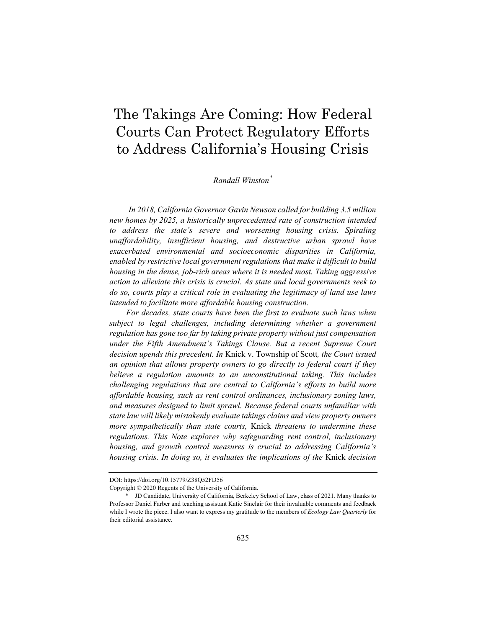# The Takings Are Coming: How Federal Courts Can Protect Regulatory Efforts to Address California's Housing Crisis

### *Randall Winston\**

*In 2018, California Governor Gavin Newson called for building 3.5 million new homes by 2025, a historically unprecedented rate of construction intended to address the state's severe and worsening housing crisis. Spiraling unaffordability, insufficient housing, and destructive urban sprawl have exacerbated environmental and socioeconomic disparities in California, enabled by restrictive local government regulations that make it difficult to build housing in the dense, job-rich areas where it is needed most. Taking aggressive action to alleviate this crisis is crucial. As state and local governments seek to do so, courts play a critical role in evaluating the legitimacy of land use laws intended to facilitate more affordable housing construction.* 

*For decades, state courts have been the first to evaluate such laws when subject to legal challenges, including determining whether a government regulation has gone too far by taking private property without just compensation under the Fifth Amendment's Takings Clause. But a recent Supreme Court decision upends this precedent. In* Knick v. Township of Scott*, the Court issued an opinion that allows property owners to go directly to federal court if they believe a regulation amounts to an unconstitutional taking. This includes challenging regulations that are central to California's efforts to build more affordable housing, such as rent control ordinances, inclusionary zoning laws, and measures designed to limit sprawl. Because federal courts unfamiliar with state law will likely mistakenly evaluate takings claims and view property owners more sympathetically than state courts,* Knick *threatens to undermine these regulations. This Note explores why safeguarding rent control, inclusionary housing, and growth control measures is crucial to addressing California's housing crisis. In doing so, it evaluates the implications of the* Knick *decision* 

DOI: https://doi.org/10.15779/Z38Q52FD56

Copyright © 2020 Regents of the University of California.

 <sup>\*</sup> JD Candidate, University of California, Berkeley School of Law, class of 2021. Many thanks to Professor Daniel Farber and teaching assistant Katie Sinclair for their invaluable comments and feedback while I wrote the piece. I also want to express my gratitude to the members of *Ecology Law Quarterly* for their editorial assistance.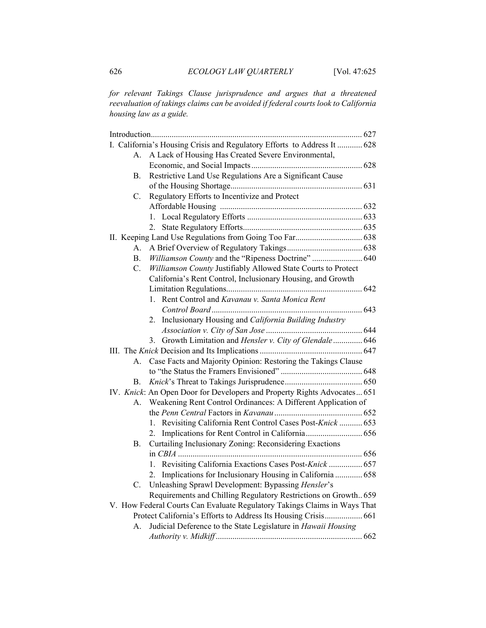*for relevant Takings Clause jurisprudence and argues that a threatened reevaluation of takings claims can be avoided if federal courts look to California housing law as a guide.* 

|                                                                           | I. California's Housing Crisis and Regulatory Efforts to Address It  628 |  |
|---------------------------------------------------------------------------|--------------------------------------------------------------------------|--|
| А.                                                                        | A Lack of Housing Has Created Severe Environmental,                      |  |
|                                                                           |                                                                          |  |
| В.                                                                        | Restrictive Land Use Regulations Are a Significant Cause                 |  |
|                                                                           |                                                                          |  |
| C.                                                                        | Regulatory Efforts to Incentivize and Protect                            |  |
|                                                                           |                                                                          |  |
|                                                                           |                                                                          |  |
|                                                                           | 2.                                                                       |  |
|                                                                           |                                                                          |  |
| А.                                                                        |                                                                          |  |
| В.                                                                        | Williamson County and the "Ripeness Doctrine"  640                       |  |
| C.                                                                        | Williamson County Justifiably Allowed State Courts to Protect            |  |
|                                                                           | California's Rent Control, Inclusionary Housing, and Growth              |  |
|                                                                           |                                                                          |  |
|                                                                           | 1. Rent Control and Kavanau v. Santa Monica Rent                         |  |
|                                                                           |                                                                          |  |
|                                                                           | Inclusionary Housing and California Building Industry<br>2.              |  |
|                                                                           |                                                                          |  |
|                                                                           | Growth Limitation and Hensler v. City of Glendale 646<br>3.              |  |
|                                                                           |                                                                          |  |
| А.                                                                        | Case Facts and Majority Opinion: Restoring the Takings Clause            |  |
|                                                                           |                                                                          |  |
| В.                                                                        |                                                                          |  |
|                                                                           | IV. Knick: An Open Door for Developers and Property Rights Advocates 651 |  |
| A.                                                                        | Weakening Rent Control Ordinances: A Different Application of            |  |
|                                                                           |                                                                          |  |
|                                                                           | 1. Revisiting California Rent Control Cases Post-Knick  653              |  |
|                                                                           | 2.                                                                       |  |
| В.                                                                        | Curtailing Inclusionary Zoning: Reconsidering Exactions                  |  |
|                                                                           |                                                                          |  |
|                                                                           | 1. Revisiting California Exactions Cases Post-Knick  657                 |  |
|                                                                           | Implications for Inclusionary Housing in California  658<br>2.           |  |
| C.                                                                        | Unleashing Sprawl Development: Bypassing Hensler's                       |  |
|                                                                           | Requirements and Chilling Regulatory Restrictions on Growth 659          |  |
| V. How Federal Courts Can Evaluate Regulatory Takings Claims in Ways That |                                                                          |  |
| Protect California's Efforts to Address Its Housing Crisis 661            |                                                                          |  |
| А.                                                                        | Judicial Deference to the State Legislature in Hawaii Housing            |  |
|                                                                           |                                                                          |  |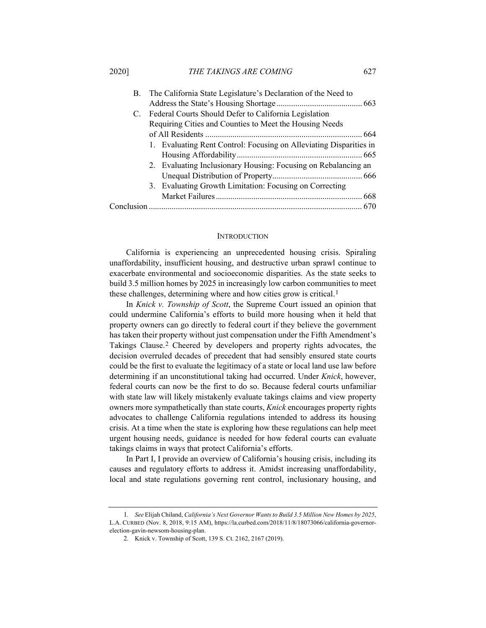#### 2020] *THE TAKINGS ARE COMING* 627

| B.          | The California State Legislature's Declaration of the Need to      |
|-------------|--------------------------------------------------------------------|
| $C_{\cdot}$ |                                                                    |
|             | Federal Courts Should Defer to California Legislation              |
|             | Requiring Cities and Counties to Meet the Housing Needs            |
|             |                                                                    |
|             | 1. Evaluating Rent Control: Focusing on Alleviating Disparities in |
|             |                                                                    |
|             | 2. Evaluating Inclusionary Housing: Focusing on Rebalancing an     |
|             |                                                                    |
|             | 3. Evaluating Growth Limitation: Focusing on Correcting            |
|             |                                                                    |
|             |                                                                    |

#### **INTRODUCTION**

California is experiencing an unprecedented housing crisis. Spiraling unaffordability, insufficient housing, and destructive urban sprawl continue to exacerbate environmental and socioeconomic disparities. As the state seeks to build 3.5 million homes by 2025 in increasingly low carbon communities to meet these challenges, determining where and how cities grow is critical.1

In *Knick v. Township of Scott*, the Supreme Court issued an opinion that could undermine California's efforts to build more housing when it held that property owners can go directly to federal court if they believe the government has taken their property without just compensation under the Fifth Amendment's Takings Clause.2 Cheered by developers and property rights advocates, the decision overruled decades of precedent that had sensibly ensured state courts could be the first to evaluate the legitimacy of a state or local land use law before determining if an unconstitutional taking had occurred. Under *Knick*, however, federal courts can now be the first to do so. Because federal courts unfamiliar with state law will likely mistakenly evaluate takings claims and view property owners more sympathetically than state courts, *Knick* encourages property rights advocates to challenge California regulations intended to address its housing crisis. At a time when the state is exploring how these regulations can help meet urgent housing needs, guidance is needed for how federal courts can evaluate takings claims in ways that protect California's efforts.

In Part I, I provide an overview of California's housing crisis, including its causes and regulatory efforts to address it. Amidst increasing unaffordability, local and state regulations governing rent control, inclusionary housing, and

<sup>1</sup>*. See* Elijah Chiland, *California's Next Governor Wants to Build 3.5 Million New Homes by 2025*, L.A. CURBED (Nov. 8, 2018, 9:15 AM), https://la.curbed.com/2018/11/8/18073066/california-governorelection-gavin-newsom-housing-plan.

<sup>2.</sup> Knick v. Township of Scott, 139 S. Ct. 2162, 2167 (2019).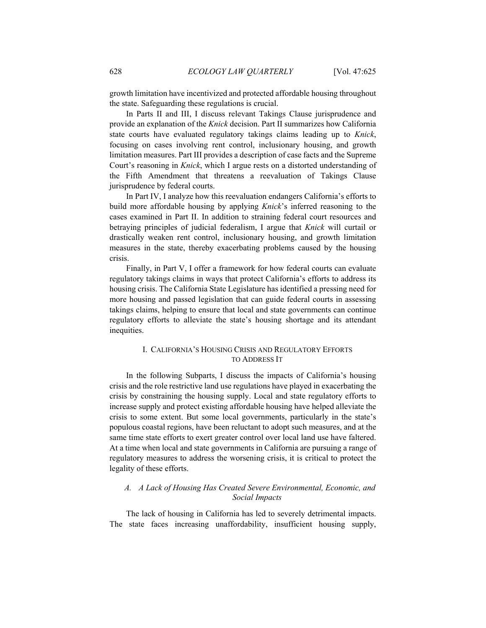growth limitation have incentivized and protected affordable housing throughout the state. Safeguarding these regulations is crucial.

In Parts II and III, I discuss relevant Takings Clause jurisprudence and provide an explanation of the *Knick* decision. Part II summarizes how California state courts have evaluated regulatory takings claims leading up to *Knick*, focusing on cases involving rent control, inclusionary housing, and growth limitation measures. Part III provides a description of case facts and the Supreme Court's reasoning in *Knick*, which I argue rests on a distorted understanding of the Fifth Amendment that threatens a reevaluation of Takings Clause jurisprudence by federal courts.

In Part IV, I analyze how this reevaluation endangers California's efforts to build more affordable housing by applying *Knick*'s inferred reasoning to the cases examined in Part II. In addition to straining federal court resources and betraying principles of judicial federalism, I argue that *Knick* will curtail or drastically weaken rent control, inclusionary housing, and growth limitation measures in the state, thereby exacerbating problems caused by the housing crisis.

Finally, in Part V, I offer a framework for how federal courts can evaluate regulatory takings claims in ways that protect California's efforts to address its housing crisis. The California State Legislature has identified a pressing need for more housing and passed legislation that can guide federal courts in assessing takings claims, helping to ensure that local and state governments can continue regulatory efforts to alleviate the state's housing shortage and its attendant inequities.

# I. CALIFORNIA'S HOUSING CRISIS AND REGULATORY EFFORTS TO ADDRESS IT

In the following Subparts, I discuss the impacts of California's housing crisis and the role restrictive land use regulations have played in exacerbating the crisis by constraining the housing supply. Local and state regulatory efforts to increase supply and protect existing affordable housing have helped alleviate the crisis to some extent. But some local governments, particularly in the state's populous coastal regions, have been reluctant to adopt such measures, and at the same time state efforts to exert greater control over local land use have faltered. At a time when local and state governments in California are pursuing a range of regulatory measures to address the worsening crisis, it is critical to protect the legality of these efforts.

# *A. A Lack of Housing Has Created Severe Environmental, Economic, and Social Impacts*

The lack of housing in California has led to severely detrimental impacts. The state faces increasing unaffordability, insufficient housing supply,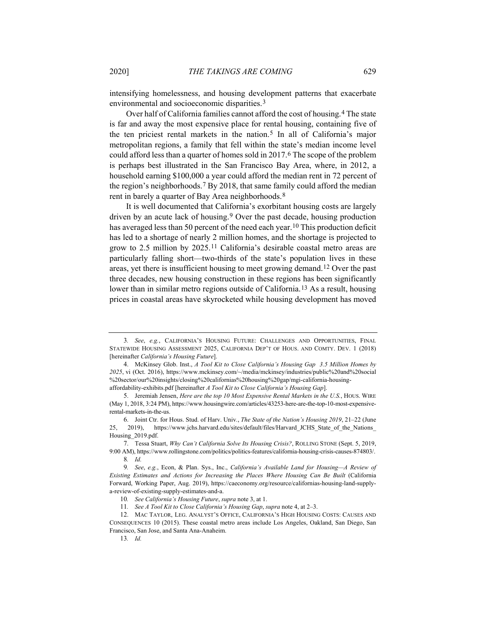environmental and socioeconomic disparities.3

Over half of California families cannot afford the cost of housing.4 The state is far and away the most expensive place for rental housing, containing five of the ten priciest rental markets in the nation.5 In all of California's major metropolitan regions, a family that fell within the state's median income level could afford less than a quarter of homes sold in 2017.6 The scope of the problem is perhaps best illustrated in the San Francisco Bay Area, where, in 2012, a household earning \$100,000 a year could afford the median rent in 72 percent of the region's neighborhoods.7 By 2018, that same family could afford the median rent in barely a quarter of Bay Area neighborhoods.8

It is well documented that California's exorbitant housing costs are largely driven by an acute lack of housing.9 Over the past decade, housing production has averaged less than 50 percent of the need each year.<sup>10</sup> This production deficit has led to a shortage of nearly 2 million homes, and the shortage is projected to grow to 2.5 million by 2025.11 California's desirable coastal metro areas are particularly falling short—two-thirds of the state's population lives in these areas, yet there is insufficient housing to meet growing demand.12 Over the past three decades, new housing construction in these regions has been significantly lower than in similar metro regions outside of California.13 As a result, housing prices in coastal areas have skyrocketed while housing development has moved

<sup>3</sup>*. See*, *e.g.*, CALIFORNIA'S HOUSING FUTURE: CHALLENGES AND OPPORTUNITIES, FINAL STATEWIDE HOUSING ASSESSMENT 2025, CALIFORNIA DEP'T OF HOUS. AND COMTY. DEV. 1 (2018) [hereinafter *California's Housing Future*].

<sup>4.</sup> McKinsey Glob. Inst., *A Tool Kit to Close California's Housing Gap 3.5 Million Homes by 2025*, vi (Oct. 2016), https://www.mckinsey.com/~/media/mckinsey/industries/public%20and%20social %20sector/our%20insights/closing%20californias%20housing%20gap/mgi-california-housingaffordability-exhibits.pdf [hereinafter *A Tool Kit to Close California's Housing Gap*].

<sup>5.</sup> Jeremiah Jensen, *Here are the top 10 Most Expensive Rental Markets in the U.S.*, HOUS. WIRE (May 1, 2018, 3:24 PM), https://www.housingwire.com/articles/43253-here-are-the-top-10-most-expensiverental-markets-in-the-us.

<sup>6.</sup> Joint Ctr. for Hous. Stud. of Harv. Univ*.*, *The State of the Nation's Housing 2019*, 21–22 (June 25, 2019), https://www.jchs.harvard.edu/sites/default/files/Harvard\_JCHS\_State\_of\_the\_Nations\_ Housing\_2019.pdf.

<sup>7.</sup> Tessa Stuart, *Why Can't California Solve Its Housing Crisis?*, ROLLING STONE (Sept. 5, 2019, 9:00 AM), https://www.rollingstone.com/politics/politics-features/california-housing-crisis-causes-874803/. 8*. Id.*

<sup>9</sup>*. See*, *e.g.*, Econ, & Plan. Sys., Inc., *California's Available Land for Housing—A Review of Existing Estimates and Actions for Increasing the Places Where Housing Can Be Built* (California Forward, Working Paper, Aug. 2019), https://caeconomy.org/resource/californias-housing-land-supplya-review-of-existing-supply-estimates-and-a.

<sup>10</sup>*. See California's Housing Future*, *supra* note 3, at 1.

<sup>11</sup>*. See A Tool Kit to Close California's Housing Gap*, *supra* note 4, at 2–3.

<sup>12.</sup> MAC TAYLOR, LEG. ANALYST'S OFFICE, CALIFORNIA'S HIGH HOUSING COSTS: CAUSES AND CONSEQUENCES 10 (2015). These coastal metro areas include Los Angeles, Oakland, San Diego, San Francisco, San Jose, and Santa Ana-Anaheim.

<sup>13</sup>*. Id.*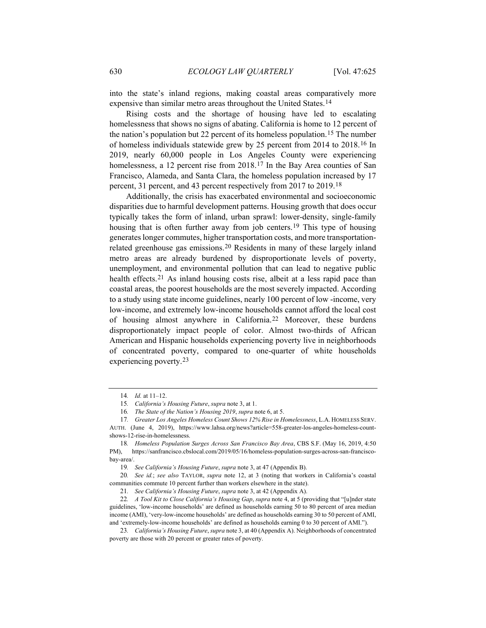into the state's inland regions, making coastal areas comparatively more expensive than similar metro areas throughout the United States.14

Rising costs and the shortage of housing have led to escalating homelessness that shows no signs of abating. California is home to 12 percent of the nation's population but 22 percent of its homeless population.15 The number of homeless individuals statewide grew by 25 percent from 2014 to 2018.16 In 2019, nearly 60,000 people in Los Angeles County were experiencing homelessness, a 12 percent rise from 2018.<sup>17</sup> In the Bay Area counties of San Francisco, Alameda, and Santa Clara, the homeless population increased by 17 percent, 31 percent, and 43 percent respectively from 2017 to 2019.18

Additionally, the crisis has exacerbated environmental and socioeconomic disparities due to harmful development patterns. Housing growth that does occur typically takes the form of inland, urban sprawl: lower-density, single-family housing that is often further away from job centers.19 This type of housing generates longer commutes, higher transportation costs, and more transportationrelated greenhouse gas emissions.20 Residents in many of these largely inland metro areas are already burdened by disproportionate levels of poverty, unemployment, and environmental pollution that can lead to negative public health effects.<sup>21</sup> As inland housing costs rise, albeit at a less rapid pace than coastal areas, the poorest households are the most severely impacted. According to a study using state income guidelines, nearly 100 percent of low -income, very low-income, and extremely low-income households cannot afford the local cost of housing almost anywhere in California.22 Moreover, these burdens disproportionately impact people of color. Almost two-thirds of African American and Hispanic households experiencing poverty live in neighborhoods of concentrated poverty, compared to one-quarter of white households experiencing poverty.23

<sup>14</sup>*. Id.* at 11–12.

<sup>15</sup>*. California's Housing Future*, *supra* note 3, at 1.

<sup>16</sup>*. The State of the Nation's Housing 2019*, *supra* note 6, at 5.

<sup>17</sup>*. Greater Los Angeles Homeless Count Shows 12% Rise in Homelessness*, L.A. HOMELESS SERV. AUTH. (June 4, 2019), https://www.lahsa.org/news?article=558-greater-los-angeles-homeless-countshows-12-rise-in-homelessness.

<sup>18</sup>*. Homeless Population Surges Across San Francisco Bay Area*, CBS S.F. (May 16, 2019, 4:50 PM), https://sanfrancisco.cbslocal.com/2019/05/16/homeless-population-surges-across-san-franciscobay-area/.

<sup>19</sup>*. See California's Housing Future*, *supra* note 3, at 47 (Appendix B).

<sup>20</sup>*. See id.*; *see also* TAYLOR, *supra* note 12, at 3 (noting that workers in California's coastal communities commute 10 percent further than workers elsewhere in the state).

<sup>21</sup>*. See California's Housing Future*, *supra* note 3, at 42 (Appendix A).

<sup>22</sup>*. A Tool Kit to Close California's Housing Gap*, *supra* note 4, at 5 (providing that "[u]nder state guidelines, 'low-income households' are defined as households earning 50 to 80 percent of area median income (AMI), 'very-low-income households' are defined as households earning 30 to 50 percent of AMI, and 'extremely-low-income households' are defined as households earning 0 to 30 percent of AMI.").

<sup>23</sup>*. California's Housing Future*, *supra* note 3, at 40 (Appendix A). Neighborhoods of concentrated poverty are those with 20 percent or greater rates of poverty.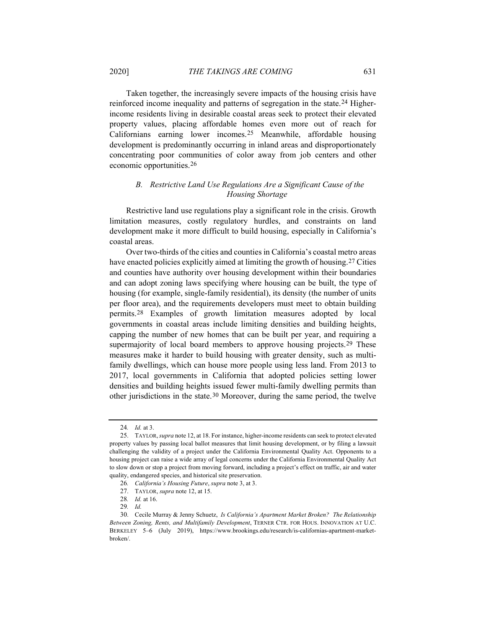Taken together, the increasingly severe impacts of the housing crisis have reinforced income inequality and patterns of segregation in the state.24 Higherincome residents living in desirable coastal areas seek to protect their elevated property values, placing affordable homes even more out of reach for Californians earning lower incomes.25 Meanwhile, affordable housing development is predominantly occurring in inland areas and disproportionately concentrating poor communities of color away from job centers and other economic opportunities.26

# *B. Restrictive Land Use Regulations Are a Significant Cause of the Housing Shortage*

Restrictive land use regulations play a significant role in the crisis. Growth limitation measures, costly regulatory hurdles, and constraints on land development make it more difficult to build housing, especially in California's coastal areas.

Over two-thirds of the cities and counties in California's coastal metro areas have enacted policies explicitly aimed at limiting the growth of housing.27 Cities and counties have authority over housing development within their boundaries and can adopt zoning laws specifying where housing can be built, the type of housing (for example, single-family residential), its density (the number of units per floor area), and the requirements developers must meet to obtain building permits.28 Examples of growth limitation measures adopted by local governments in coastal areas include limiting densities and building heights, capping the number of new homes that can be built per year, and requiring a supermajority of local board members to approve housing projects.<sup>29</sup> These measures make it harder to build housing with greater density, such as multifamily dwellings, which can house more people using less land. From 2013 to 2017, local governments in California that adopted policies setting lower densities and building heights issued fewer multi-family dwelling permits than other jurisdictions in the state.30 Moreover, during the same period, the twelve

<sup>24</sup>*. Id.* at 3.

<sup>25.</sup> TAYLOR, *supra* note 12, at 18. For instance, higher-income residents can seek to protect elevated property values by passing local ballot measures that limit housing development, or by filing a lawsuit challenging the validity of a project under the California Environmental Quality Act. Opponents to a housing project can raise a wide array of legal concerns under the California Environmental Quality Act to slow down or stop a project from moving forward, including a project's effect on traffic, air and water quality, endangered species, and historical site preservation.

<sup>26</sup>*. California's Housing Future*, *supra* note 3, at 3.

<sup>27.</sup> TAYLOR, *supra* note 12, at 15.

<sup>28</sup>*. Id.* at 16.

<sup>29</sup>*. Id.*

<sup>30.</sup> Cecile Murray & Jenny Schuetz, *Is California's Apartment Market Broken? The Relationship Between Zoning, Rents, and Multifamily Development*, TERNER CTR. FOR HOUS. INNOVATION AT U.C. BERKELEY 5–6 (July 2019), https://www.brookings.edu/research/is-californias-apartment-marketbroken/.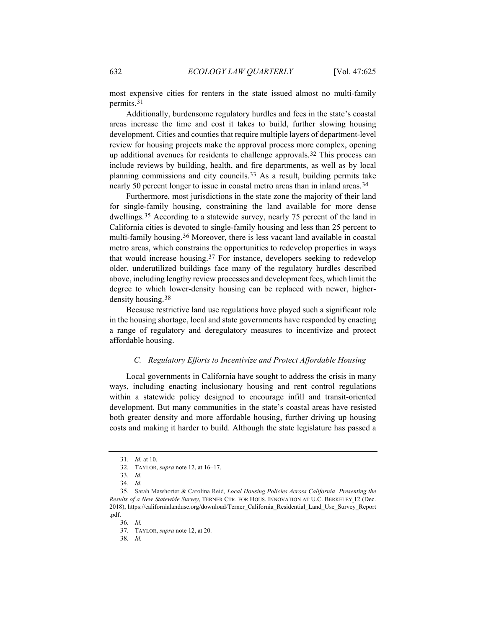most expensive cities for renters in the state issued almost no multi-family permits.31

Additionally, burdensome regulatory hurdles and fees in the state's coastal areas increase the time and cost it takes to build, further slowing housing development. Cities and counties that require multiple layers of department-level review for housing projects make the approval process more complex, opening up additional avenues for residents to challenge approvals.<sup>32</sup> This process can include reviews by building, health, and fire departments, as well as by local planning commissions and city councils.33 As a result, building permits take nearly 50 percent longer to issue in coastal metro areas than in inland areas.34

Furthermore, most jurisdictions in the state zone the majority of their land for single-family housing, constraining the land available for more dense dwellings.35 According to a statewide survey, nearly 75 percent of the land in California cities is devoted to single-family housing and less than 25 percent to multi-family housing.36 Moreover, there is less vacant land available in coastal metro areas, which constrains the opportunities to redevelop properties in ways that would increase housing.37 For instance, developers seeking to redevelop older, underutilized buildings face many of the regulatory hurdles described above, including lengthy review processes and development fees, which limit the degree to which lower-density housing can be replaced with newer, higherdensity housing.38

Because restrictive land use regulations have played such a significant role in the housing shortage, local and state governments have responded by enacting a range of regulatory and deregulatory measures to incentivize and protect affordable housing.

#### *C. Regulatory Efforts to Incentivize and Protect Affordable Housing*

Local governments in California have sought to address the crisis in many ways, including enacting inclusionary housing and rent control regulations within a statewide policy designed to encourage infill and transit-oriented development. But many communities in the state's coastal areas have resisted both greater density and more affordable housing, further driving up housing costs and making it harder to build. Although the state legislature has passed a

36*. Id.*

38*. Id.*

<sup>31</sup>*. Id.* at 10.

<sup>32.</sup> TAYLOR, *supra* note 12, at 16–17.

<sup>33</sup>*. Id.*

<sup>34</sup>*. Id.*

<sup>35.</sup> Sarah Mawhorter & Carolina Reid*, Local Housing Policies Across California Presenting the Results of a New Statewide Survey*, TERNER CTR. FOR HOUS. INNOVATION AT U.C. BERKELEY 12 (Dec. 2018), https://californialanduse.org/download/Terner\_California\_Residential\_Land\_Use\_Survey\_Report .pdf.

<sup>37.</sup> TAYLOR, *supra* note 12, at 20.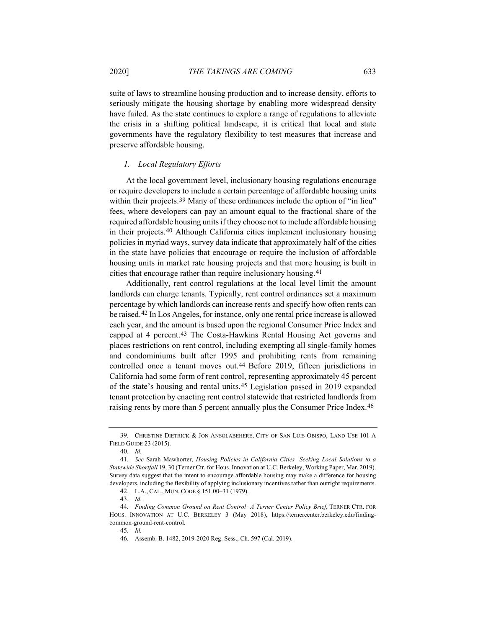suite of laws to streamline housing production and to increase density, efforts to seriously mitigate the housing shortage by enabling more widespread density have failed. As the state continues to explore a range of regulations to alleviate the crisis in a shifting political landscape, it is critical that local and state governments have the regulatory flexibility to test measures that increase and preserve affordable housing.

### *1. Local Regulatory Efforts*

At the local government level, inclusionary housing regulations encourage or require developers to include a certain percentage of affordable housing units within their projects.<sup>39</sup> Many of these ordinances include the option of "in lieu" fees, where developers can pay an amount equal to the fractional share of the required affordable housing units if they choose not to include affordable housing in their projects.40 Although California cities implement inclusionary housing policies in myriad ways, survey data indicate that approximately half of the cities in the state have policies that encourage or require the inclusion of affordable housing units in market rate housing projects and that more housing is built in cities that encourage rather than require inclusionary housing.41

Additionally, rent control regulations at the local level limit the amount landlords can charge tenants. Typically, rent control ordinances set a maximum percentage by which landlords can increase rents and specify how often rents can be raised.42 In Los Angeles, for instance, only one rental price increase is allowed each year, and the amount is based upon the regional Consumer Price Index and capped at 4 percent.<sup>43</sup> The Costa-Hawkins Rental Housing Act governs and places restrictions on rent control, including exempting all single-family homes and condominiums built after 1995 and prohibiting rents from remaining controlled once a tenant moves out.44 Before 2019, fifteen jurisdictions in California had some form of rent control, representing approximately 45 percent of the state's housing and rental units.45 Legislation passed in 2019 expanded tenant protection by enacting rent control statewide that restricted landlords from raising rents by more than 5 percent annually plus the Consumer Price Index.<sup>46</sup>

<sup>39.</sup> CHRISTINE DIETRICK & JON ANSOLABEHERE, CITY OF SAN LUIS OBISPO, LAND USE 101 A FIELD GUIDE 23 (2015).

<sup>40</sup>*. Id.*

<sup>41</sup>*. See* Sarah Mawhorter, *Housing Policies in California Cities Seeking Local Solutions to a Statewide Shortfall* 19, 30 (Terner Ctr. for Hous. Innovation at U.C. Berkeley, Working Paper, Mar. 2019). Survey data suggest that the intent to encourage affordable housing may make a difference for housing developers, including the flexibility of applying inclusionary incentives rather than outright requirements.

<sup>42</sup>*.* L.A., CAL., MUN. CODE § 151.00–31 (1979).

<sup>43</sup>*. Id.*

<sup>44</sup>*. Finding Common Ground on Rent Control A Terner Center Policy Brief*, TERNER CTR. FOR HOUS. INNOVATION AT U.C. BERKELEY 3 (May 2018), https://ternercenter.berkeley.edu/findingcommon-ground-rent-control.

<sup>45</sup>*. Id.*

<sup>46.</sup> Assemb. B. 1482, 2019-2020 Reg. Sess., Ch. 597 (Cal. 2019).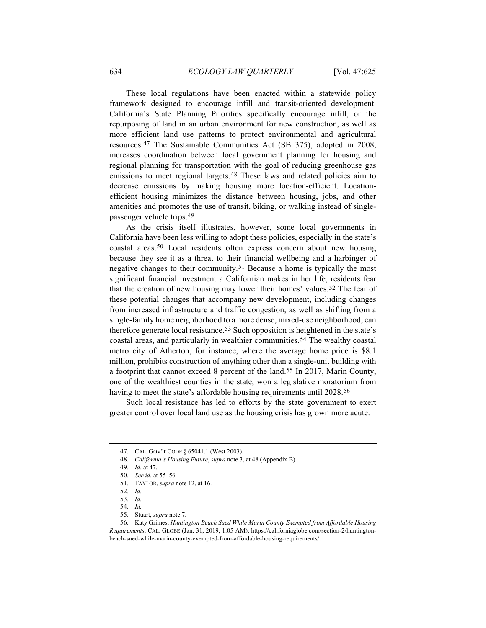These local regulations have been enacted within a statewide policy framework designed to encourage infill and transit-oriented development. California's State Planning Priorities specifically encourage infill, or the repurposing of land in an urban environment for new construction, as well as more efficient land use patterns to protect environmental and agricultural resources.47 The Sustainable Communities Act (SB 375), adopted in 2008, increases coordination between local government planning for housing and regional planning for transportation with the goal of reducing greenhouse gas emissions to meet regional targets.<sup>48</sup> These laws and related policies aim to decrease emissions by making housing more location-efficient. Locationefficient housing minimizes the distance between housing, jobs, and other amenities and promotes the use of transit, biking, or walking instead of singlepassenger vehicle trips.49

As the crisis itself illustrates, however, some local governments in California have been less willing to adopt these policies, especially in the state's coastal areas.50 Local residents often express concern about new housing because they see it as a threat to their financial wellbeing and a harbinger of negative changes to their community.51 Because a home is typically the most significant financial investment a Californian makes in her life, residents fear that the creation of new housing may lower their homes' values.52 The fear of these potential changes that accompany new development, including changes from increased infrastructure and traffic congestion, as well as shifting from a single-family home neighborhood to a more dense, mixed-use neighborhood, can therefore generate local resistance.53 Such opposition is heightened in the state's coastal areas, and particularly in wealthier communities.54 The wealthy coastal metro city of Atherton, for instance, where the average home price is \$8.1 million, prohibits construction of anything other than a single-unit building with a footprint that cannot exceed 8 percent of the land.55 In 2017, Marin County, one of the wealthiest counties in the state, won a legislative moratorium from having to meet the state's affordable housing requirements until 2028.<sup>56</sup>

Such local resistance has led to efforts by the state government to exert greater control over local land use as the housing crisis has grown more acute.

<sup>47.</sup> CAL. GOV'T CODE § 65041.1 (West 2003).

<sup>48</sup>*. California's Housing Future*, *supra* note 3, at 48 (Appendix B).

<sup>49</sup>*. Id.* at 47.

<sup>50</sup>*. See id.* at 55–56.

<sup>51.</sup> TAYLOR, *supra* note 12, at 16.

<sup>52</sup>*. Id.*

<sup>53</sup>*. Id.*

<sup>54</sup>*. Id.*

<sup>55.</sup> Stuart, *supra* note 7.

<sup>56.</sup> Katy Grimes, *Huntington Beach Sued While Marin County Exempted from Affordable Housing Requirements*, CAL. GLOBE (Jan. 31, 2019, 1:05 AM), https://californiaglobe.com/section-2/huntingtonbeach-sued-while-marin-county-exempted-from-affordable-housing-requirements/.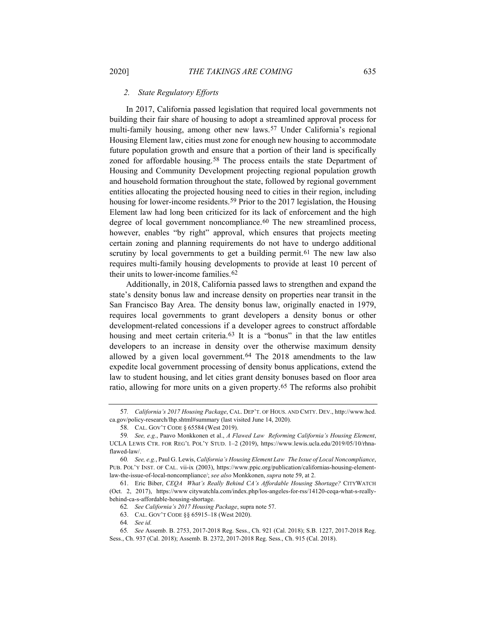#### *2. State Regulatory Efforts*

In 2017, California passed legislation that required local governments not building their fair share of housing to adopt a streamlined approval process for multi-family housing, among other new laws.57 Under California's regional Housing Element law, cities must zone for enough new housing to accommodate future population growth and ensure that a portion of their land is specifically zoned for affordable housing.<sup>58</sup> The process entails the state Department of Housing and Community Development projecting regional population growth and household formation throughout the state, followed by regional government entities allocating the projected housing need to cities in their region, including housing for lower-income residents.<sup>59</sup> Prior to the 2017 legislation, the Housing Element law had long been criticized for its lack of enforcement and the high degree of local government noncompliance.<sup>60</sup> The new streamlined process, however, enables "by right" approval, which ensures that projects meeting certain zoning and planning requirements do not have to undergo additional scrutiny by local governments to get a building permit.<sup>61</sup> The new law also requires multi-family housing developments to provide at least 10 percent of their units to lower-income families.62

Additionally, in 2018, California passed laws to strengthen and expand the state's density bonus law and increase density on properties near transit in the San Francisco Bay Area. The density bonus law, originally enacted in 1979, requires local governments to grant developers a density bonus or other development-related concessions if a developer agrees to construct affordable housing and meet certain criteria.<sup>63</sup> It is a "bonus" in that the law entitles developers to an increase in density over the otherwise maximum density allowed by a given local government.<sup>64</sup> The 2018 amendments to the law expedite local government processing of density bonus applications, extend the law to student housing, and let cities grant density bonuses based on floor area ratio, allowing for more units on a given property.65 The reforms also prohibit

64*. See id.*

<sup>57</sup>*. California's 2017 Housing Package*, CAL. DEP'T. OF HOUS. AND CMTY. DEV., http://www.hcd. ca.gov/policy-research/lhp.shtml#summary (last visited June 14, 2020).

<sup>58.</sup> CAL. GOV'T CODE § 65584 (West 2019).

<sup>59</sup>*. See, e.g.*, Paavo Monkkonen et al., *A Flawed Law Reforming California's Housing Element*, UCLA LEWIS CTR. FOR REG'L POL'Y STUD. 1–2 (2019), https://www.lewis.ucla.edu/2019/05/10/rhnaflawed-law/.

<sup>60</sup>*. See, e.g.*, Paul G. Lewis, *California's Housing Element Law The Issue of Local Noncompliance*, PUB. POL'Y INST. OF CAL. vii-ix (2003), https://www.ppic.org/publication/californias-housing-elementlaw-the-issue-of-local-noncompliance/; *see also* Monkkonen, *supra* note 59, at 2.

<sup>61.</sup> Eric Biber, *CEQA What's Really Behind CA's Affordable Housing Shortage?* CITYWATCH (Oct. 2, 2017), https://www citywatchla.com/index.php/los-angeles-for-rss/14120-ceqa-what-s-reallybehind-ca-s-affordable-housing-shortage.

<sup>62</sup>*. See California's 2017 Housing Package*, supra note 57.

<sup>63.</sup> CAL. GOV'T CODE §§ 65915–18 (West 2020).

<sup>65</sup>*. See* Assemb. B. 2753, 2017-2018 Reg. Sess., Ch. 921 (Cal. 2018); S.B. 1227, 2017-2018 Reg. Sess., Ch. 937 (Cal. 2018); Assemb. B. 2372, 2017-2018 Reg. Sess., Ch. 915 (Cal. 2018).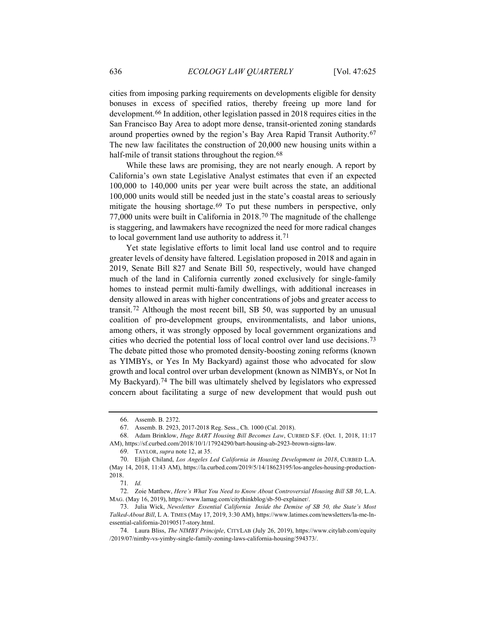cities from imposing parking requirements on developments eligible for density bonuses in excess of specified ratios, thereby freeing up more land for development.66 In addition, other legislation passed in 2018 requires cities in the San Francisco Bay Area to adopt more dense, transit-oriented zoning standards around properties owned by the region's Bay Area Rapid Transit Authority.67 The new law facilitates the construction of 20,000 new housing units within a half-mile of transit stations throughout the region.<sup>68</sup>

While these laws are promising, they are not nearly enough. A report by California's own state Legislative Analyst estimates that even if an expected 100,000 to 140,000 units per year were built across the state, an additional 100,000 units would still be needed just in the state's coastal areas to seriously mitigate the housing shortage.<sup>69</sup> To put these numbers in perspective, only 77,000 units were built in California in 2018.70 The magnitude of the challenge is staggering, and lawmakers have recognized the need for more radical changes to local government land use authority to address it.71

Yet state legislative efforts to limit local land use control and to require greater levels of density have faltered. Legislation proposed in 2018 and again in 2019, Senate Bill 827 and Senate Bill 50, respectively, would have changed much of the land in California currently zoned exclusively for single-family homes to instead permit multi-family dwellings, with additional increases in density allowed in areas with higher concentrations of jobs and greater access to transit.72 Although the most recent bill, SB 50, was supported by an unusual coalition of pro-development groups, environmentalists, and labor unions, among others, it was strongly opposed by local government organizations and cities who decried the potential loss of local control over land use decisions.73 The debate pitted those who promoted density-boosting zoning reforms (known as YIMBYs, or Yes In My Backyard) against those who advocated for slow growth and local control over urban development (known as NIMBYs, or Not In My Backyard).74 The bill was ultimately shelved by legislators who expressed concern about facilitating a surge of new development that would push out

<sup>66.</sup> Assemb. B. 2372.

<sup>67.</sup> Assemb. B. 2923, 2017-2018 Reg. Sess., Ch. 1000 (Cal. 2018).

<sup>68.</sup> Adam Brinklow, *Huge BART Housing Bill Becomes Law*, CURBED S.F. (Oct. 1, 2018, 11:17 AM), https://sf.curbed.com/2018/10/1/17924290/bart-housing-ab-2923-brown-signs-law.

<sup>69.</sup> TAYLOR, *supra* note 12, at 35.

<sup>70.</sup> Elijah Chiland, *Los Angeles Led California in Housing Development in 2018*, CURBED L.A. (May 14, 2018, 11:43 AM), https://la.curbed.com/2019/5/14/18623195/los-angeles-housing-production-2018.

<sup>71</sup>*. Id.*

<sup>72.</sup> Zoie Matthew, *Here's What You Need to Know About Controversial Housing Bill SB 50*, L.A. MAG. (May 16, 2019), https://www.lamag.com/citythinkblog/sb-50-explainer/.

<sup>73.</sup> Julia Wick, *Newsletter Essential California Inside the Demise of SB 50, the State's Most Talked-About Bill*, L A. TIMES (May 17, 2019, 3:30 AM), https://www.latimes.com/newsletters/la-me-lnessential-california-20190517-story.html.

<sup>74.</sup> Laura Bliss, *The NIMBY Principle*, CITYLAB (July 26, 2019), https://www.citylab.com/equity /2019/07/nimby-vs-yimby-single-family-zoning-laws-california-housing/594373/.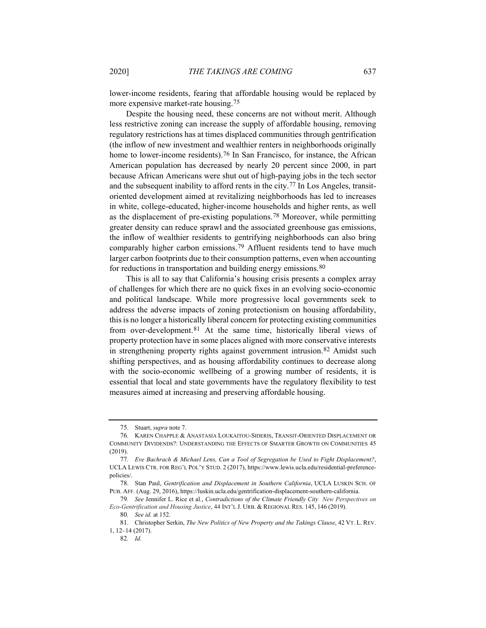lower-income residents, fearing that affordable housing would be replaced by more expensive market-rate housing.75

Despite the housing need, these concerns are not without merit. Although less restrictive zoning can increase the supply of affordable housing, removing regulatory restrictions has at times displaced communities through gentrification (the inflow of new investment and wealthier renters in neighborhoods originally home to lower-income residents).<sup>76</sup> In San Francisco, for instance, the African American population has decreased by nearly 20 percent since 2000, in part because African Americans were shut out of high-paying jobs in the tech sector and the subsequent inability to afford rents in the city.<sup>77</sup> In Los Angeles, transitoriented development aimed at revitalizing neighborhoods has led to increases in white, college-educated, higher-income households and higher rents, as well as the displacement of pre-existing populations.78 Moreover, while permitting greater density can reduce sprawl and the associated greenhouse gas emissions, the inflow of wealthier residents to gentrifying neighborhoods can also bring comparably higher carbon emissions.79 Affluent residents tend to have much larger carbon footprints due to their consumption patterns, even when accounting for reductions in transportation and building energy emissions.<sup>80</sup>

This is all to say that California's housing crisis presents a complex array of challenges for which there are no quick fixes in an evolving socio-economic and political landscape. While more progressive local governments seek to address the adverse impacts of zoning protectionism on housing affordability, this is no longer a historically liberal concern for protecting existing communities from over-development.<sup>81</sup> At the same time, historically liberal views of property protection have in some places aligned with more conservative interests in strengthening property rights against government intrusion.82 Amidst such shifting perspectives, and as housing affordability continues to decrease along with the socio-economic wellbeing of a growing number of residents, it is essential that local and state governments have the regulatory flexibility to test measures aimed at increasing and preserving affordable housing.

<sup>75.</sup> Stuart, *supra* note 7.

<sup>76.</sup> KAREN CHAPPLE & ANASTASIA LOUKAITOU-SIDERIS, TRANSIT-ORIENTED DISPLACEMENT OR COMMUNITY DIVIDENDS?: UNDERSTANDING THE EFFECTS OF SMARTER GROWTH ON COMMUNITIES 45 (2019).

<sup>77</sup>*. Eve Bachrach & Michael Lens, Can a Tool of Segregation be Used to Fight Displacement?*, UCLA LEWIS CTR. FOR REG'L POL'Y STUD. 2 (2017), https://www.lewis.ucla.edu/residential-preferencepolicies/.

<sup>78.</sup> Stan Paul, *Gentrification and Displacement in Southern California*, UCLA LUSKIN SCH. OF PUB. AFF. (Aug. 29, 2016), https://luskin.ucla.edu/gentrification-displacement-southern-california.

<sup>79</sup>*. See* Jennifer L. Rice et al., *Contradictions of the Climate Friendly City New Perspectives on Eco-Gentrification and Housing Justice*, 44 INT'L J. URB. & REGIONAL RES. 145, 146 (2019).

<sup>80</sup>*. See id.* at 152.

<sup>81.</sup> Christopher Serkin, *The New Politics of New Property and the Takings Clause*, 42 VT. L. REV. 1, 12–14 (2017).

<sup>82</sup>*. Id.*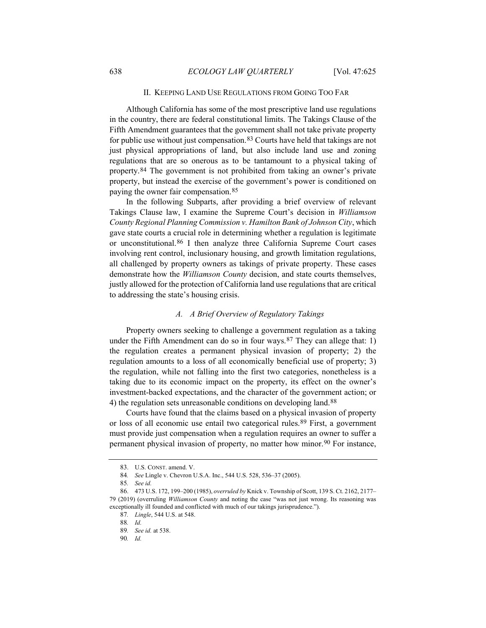#### II. KEEPING LAND USE REGULATIONS FROM GOING TOO FAR

Although California has some of the most prescriptive land use regulations in the country, there are federal constitutional limits. The Takings Clause of the Fifth Amendment guarantees that the government shall not take private property for public use without just compensation.83 Courts have held that takings are not just physical appropriations of land, but also include land use and zoning regulations that are so onerous as to be tantamount to a physical taking of property.84 The government is not prohibited from taking an owner's private property, but instead the exercise of the government's power is conditioned on paying the owner fair compensation.85

In the following Subparts, after providing a brief overview of relevant Takings Clause law, I examine the Supreme Court's decision in *Williamson County Regional Planning Commission v. Hamilton Bank of Johnson City*, which gave state courts a crucial role in determining whether a regulation is legitimate or unconstitutional.86 I then analyze three California Supreme Court cases involving rent control, inclusionary housing, and growth limitation regulations, all challenged by property owners as takings of private property. These cases demonstrate how the *Williamson County* decision, and state courts themselves, justly allowed for the protection of California land use regulations that are critical to addressing the state's housing crisis.

# *A. A Brief Overview of Regulatory Takings*

Property owners seeking to challenge a government regulation as a taking under the Fifth Amendment can do so in four ways.  $87$  They can allege that: 1) the regulation creates a permanent physical invasion of property; 2) the regulation amounts to a loss of all economically beneficial use of property; 3) the regulation, while not falling into the first two categories, nonetheless is a taking due to its economic impact on the property, its effect on the owner's investment-backed expectations, and the character of the government action; or 4) the regulation sets unreasonable conditions on developing land.<sup>88</sup>

Courts have found that the claims based on a physical invasion of property or loss of all economic use entail two categorical rules.89 First, a government must provide just compensation when a regulation requires an owner to suffer a permanent physical invasion of property, no matter how minor.<sup>90</sup> For instance,

<sup>83.</sup> U.S. CONST. amend. V.

<sup>84</sup>*. See* Lingle v. Chevron U.S.A. Inc., 544 U.S. 528, 536–37 (2005).

<sup>85</sup>*. See id.*

<sup>86. 473</sup> U.S. 172, 199–200 (1985), *overruled by* Knick v. Township of Scott, 139 S. Ct. 2162, 2177– 79 (2019) (overruling *Williamson County* and noting the case "was not just wrong. Its reasoning was exceptionally ill founded and conflicted with much of our takings jurisprudence.").

<sup>87</sup>*. Lingle*, 544 U.S. at 548.

<sup>88</sup>*. Id.*

<sup>89</sup>*. See id.* at 538.

<sup>90</sup>*. Id.*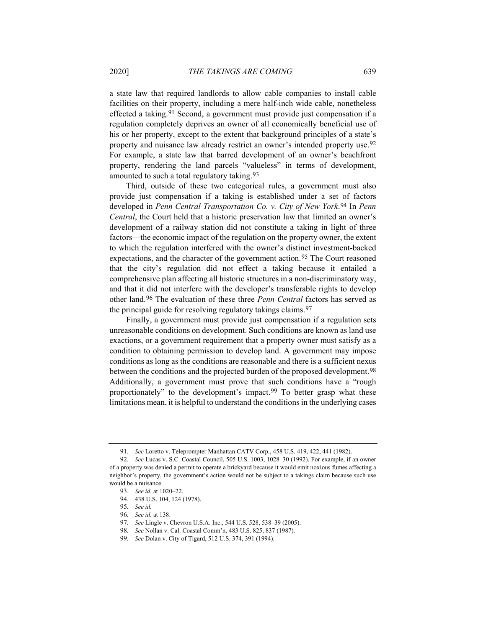a state law that required landlords to allow cable companies to install cable facilities on their property, including a mere half-inch wide cable, nonetheless effected a taking.91 Second, a government must provide just compensation if a regulation completely deprives an owner of all economically beneficial use of his or her property, except to the extent that background principles of a state's property and nuisance law already restrict an owner's intended property use.92 For example, a state law that barred development of an owner's beachfront property, rendering the land parcels "valueless" in terms of development, amounted to such a total regulatory taking.93

Third, outside of these two categorical rules, a government must also provide just compensation if a taking is established under a set of factors developed in *Penn Central Transportation Co. v. City of New York*.94 In *Penn Central*, the Court held that a historic preservation law that limited an owner's development of a railway station did not constitute a taking in light of three factors—the economic impact of the regulation on the property owner, the extent to which the regulation interfered with the owner's distinct investment-backed expectations, and the character of the government action.95 The Court reasoned that the city's regulation did not effect a taking because it entailed a comprehensive plan affecting all historic structures in a non-discriminatory way, and that it did not interfere with the developer's transferable rights to develop other land.96 The evaluation of these three *Penn Central* factors has served as the principal guide for resolving regulatory takings claims.97

Finally, a government must provide just compensation if a regulation sets unreasonable conditions on development. Such conditions are known as land use exactions, or a government requirement that a property owner must satisfy as a condition to obtaining permission to develop land. A government may impose conditions as long as the conditions are reasonable and there is a sufficient nexus between the conditions and the projected burden of the proposed development.<sup>98</sup> Additionally, a government must prove that such conditions have a "rough proportionately" to the development's impact.<sup>99</sup> To better grasp what these limitations mean, it is helpful to understand the conditions in the underlying cases

<sup>91</sup>*. See* Loretto v. Teleprompter Manhattan CATV Corp., 458 U.S. 419, 422, 441 (1982).

<sup>92</sup>*. See* Lucas v. S.C. Coastal Council, 505 U.S. 1003, 1028–30 (1992). For example, if an owner of a property was denied a permit to operate a brickyard because it would emit noxious fumes affecting a neighbor's property, the government's action would not be subject to a takings claim because such use would be a nuisance.

<sup>93</sup>*. See id.* at 1020–22.

<sup>94. 438</sup> U.S. 104, 124 (1978).

<sup>95</sup>*. See id.*

<sup>96</sup>*. See id.* at 138.

<sup>97</sup>*. See* Lingle v. Chevron U.S.A. Inc., 544 U.S. 528, 538–39 (2005).

<sup>98</sup>*. See* Nollan v. Cal. Coastal Comm'n, 483 U.S. 825, 837 (1987).

<sup>99</sup>*. See* Dolan v. City of Tigard, 512 U.S. 374, 391 (1994).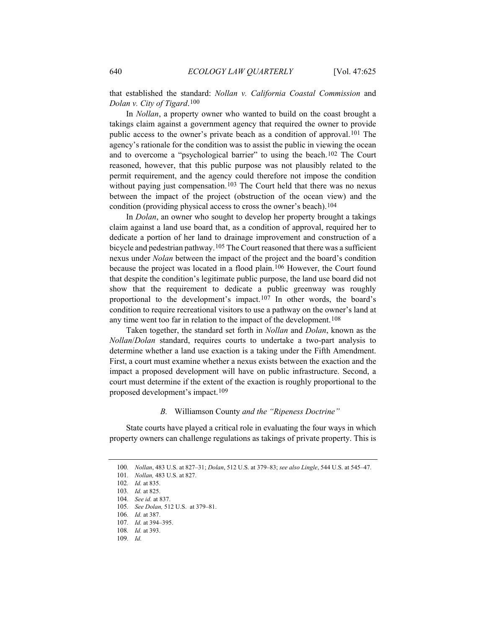that established the standard: *Nollan v. California Coastal Commission* and *Dolan v. City of Tigard*.100

In *Nollan*, a property owner who wanted to build on the coast brought a takings claim against a government agency that required the owner to provide public access to the owner's private beach as a condition of approval.101 The agency's rationale for the condition was to assist the public in viewing the ocean and to overcome a "psychological barrier" to using the beach.102 The Court reasoned, however, that this public purpose was not plausibly related to the permit requirement, and the agency could therefore not impose the condition without paying just compensation.<sup>103</sup> The Court held that there was no nexus between the impact of the project (obstruction of the ocean view) and the condition (providing physical access to cross the owner's beach).<sup>104</sup>

In *Dolan*, an owner who sought to develop her property brought a takings claim against a land use board that, as a condition of approval, required her to dedicate a portion of her land to drainage improvement and construction of a bicycle and pedestrian pathway.<sup>105</sup> The Court reasoned that there was a sufficient nexus under *Nolan* between the impact of the project and the board's condition because the project was located in a flood plain.106 However, the Court found that despite the condition's legitimate public purpose, the land use board did not show that the requirement to dedicate a public greenway was roughly proportional to the development's impact.<sup>107</sup> In other words, the board's condition to require recreational visitors to use a pathway on the owner's land at any time went too far in relation to the impact of the development.108

Taken together, the standard set forth in *Nollan* and *Dolan*, known as the *Nollan*/*Dolan* standard, requires courts to undertake a two-part analysis to determine whether a land use exaction is a taking under the Fifth Amendment. First, a court must examine whether a nexus exists between the exaction and the impact a proposed development will have on public infrastructure. Second, a court must determine if the extent of the exaction is roughly proportional to the proposed development's impact.109

#### *B.* Williamson County *and the "Ripeness Doctrine"*

State courts have played a critical role in evaluating the four ways in which property owners can challenge regulations as takings of private property. This is

<sup>100</sup>*. Nollan*, 483 U.S. at 827–31; *Dolan*, 512 U.S. at 379–83; *see also Lingle*, 544 U.S. at 545–47.

<sup>101</sup>*. Nollan,* 483 U.S. at 827.

<sup>102</sup>*. Id.* at 835.

<sup>103</sup>*. Id.* at 825.

<sup>104</sup>*. See id.* at 837.

<sup>105</sup>*. See Dolan,* 512 U.S. at 379–81.

<sup>106</sup>*. Id.* at 387.

<sup>107</sup>*. Id.* at 394–395.

<sup>108</sup>*. Id.* at 393.

<sup>109</sup>*. Id.*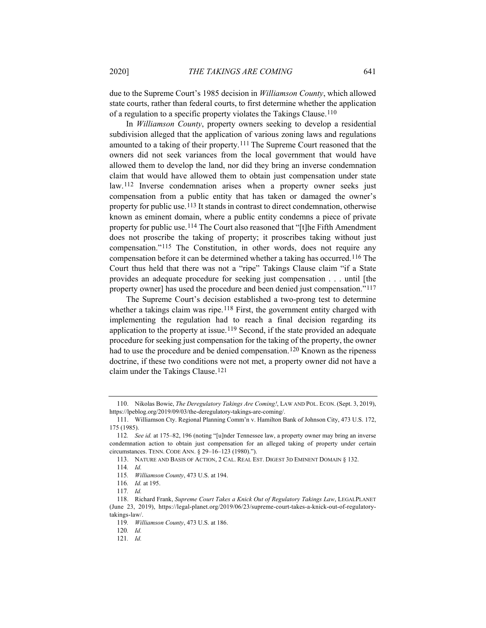due to the Supreme Court's 1985 decision in *Williamson County*, which allowed state courts, rather than federal courts, to first determine whether the application of a regulation to a specific property violates the Takings Clause.110

In *Williamson County*, property owners seeking to develop a residential subdivision alleged that the application of various zoning laws and regulations amounted to a taking of their property.111 The Supreme Court reasoned that the owners did not seek variances from the local government that would have allowed them to develop the land, nor did they bring an inverse condemnation claim that would have allowed them to obtain just compensation under state law.112 Inverse condemnation arises when a property owner seeks just compensation from a public entity that has taken or damaged the owner's property for public use.113 It stands in contrast to direct condemnation, otherwise known as eminent domain, where a public entity condemns a piece of private property for public use.114 The Court also reasoned that "[t]he Fifth Amendment does not proscribe the taking of property; it proscribes taking without just compensation."115 The Constitution, in other words, does not require any compensation before it can be determined whether a taking has occurred.116 The Court thus held that there was not a "ripe" Takings Clause claim "if a State provides an adequate procedure for seeking just compensation . . . until [the property owner] has used the procedure and been denied just compensation."117

The Supreme Court's decision established a two-prong test to determine whether a takings claim was ripe.<sup>118</sup> First, the government entity charged with implementing the regulation had to reach a final decision regarding its application to the property at issue.<sup>119</sup> Second, if the state provided an adequate procedure for seeking just compensation for the taking of the property, the owner had to use the procedure and be denied compensation.120 Known as the ripeness doctrine, if these two conditions were not met, a property owner did not have a claim under the Takings Clause.121

<sup>110.</sup> Nikolas Bowie, *The Deregulatory Takings Are Coming!*, LAW AND POL. ECON. (Sept. 3, 2019), https://lpeblog.org/2019/09/03/the-deregulatory-takings-are-coming/.

<sup>111.</sup> Williamson Cty. Regional Planning Comm'n v. Hamilton Bank of Johnson City, 473 U.S. 172, 175 (1985).

<sup>112</sup>*. See id.* at 175–82, 196 (noting "[u]nder Tennessee law, a property owner may bring an inverse condemnation action to obtain just compensation for an alleged taking of property under certain circumstances. TENN. CODE ANN. § 29–16–123 (1980).").

<sup>113.</sup> NATURE AND BASIS OF ACTION, 2 CAL. REAL EST. DIGEST 3D EMINENT DOMAIN § 132.

<sup>114</sup>*. Id.*

<sup>115</sup>*. Williamson County*, 473 U.S. at 194.

<sup>116</sup>*. Id.* at 195.

<sup>117</sup>*. Id.*

<sup>118.</sup> Richard Frank, *Supreme Court Takes a Knick Out of Regulatory Takings Law*, LEGALPLANET (June 23, 2019), https://legal-planet.org/2019/06/23/supreme-court-takes-a-knick-out-of-regulatorytakings-law/.

<sup>119</sup>*. Williamson County*, 473 U.S. at 186.

<sup>120</sup>*. Id.*

<sup>121</sup>*. Id.*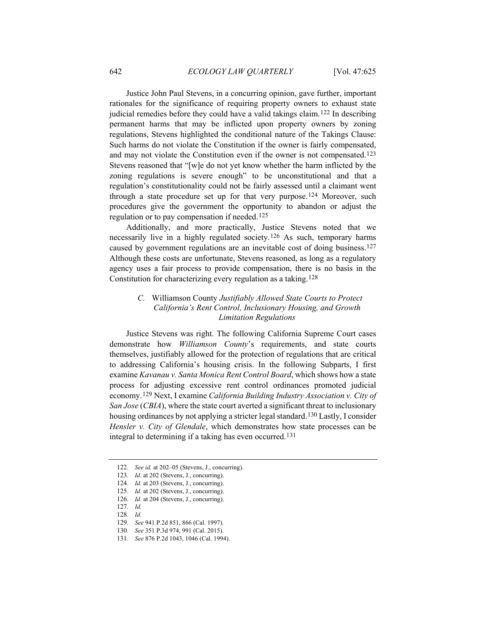Justice John Paul Stevens, in a concurring opinion, gave further, important rationales for the significance of requiring property owners to exhaust state judicial remedies before they could have a valid takings claim.<sup>122</sup> In describing permanent harms that may be inflicted upon property owners by zoning regulations, Stevens highlighted the conditional nature of the Takings Clause: Such harms do not violate the Constitution if the owner is fairly compensated, and may not violate the Constitution even if the owner is not compensated.123 Stevens reasoned that "[w]e do not yet know whether the harm inflicted by the zoning regulations is severe enough" to be unconstitutional and that a regulation's constitutionality could not be fairly assessed until a claimant went through a state procedure set up for that very purpose.<sup>124</sup> Moreover, such procedures give the government the opportunity to abandon or adjust the regulation or to pay compensation if needed.125

Additionally, and more practically, Justice Stevens noted that we necessarily live in a highly regulated society.126 As such, temporary harms caused by government regulations are an inevitable cost of doing business.127 Although these costs are unfortunate, Stevens reasoned, as long as a regulatory agency uses a fair process to provide compensation, there is no basis in the Constitution for characterizing every regulation as a taking.128

# *C.* Williamson County *Justifiably Allowed State Courts to Protect California's Rent Control, Inclusionary Housing, and Growth Limitation Regulations*

Justice Stevens was right. The following California Supreme Court cases demonstrate how *Williamson County*'s requirements, and state courts themselves, justifiably allowed for the protection of regulations that are critical to addressing California's housing crisis. In the following Subparts, I first examine *Kavanau v. Santa Monica Rent Control Board*, which shows how a state process for adjusting excessive rent control ordinances promoted judicial economy.129 Next, I examine *California Building Industry Association v. City of San Jose* (*CBIA*), where the state court averted a significant threat to inclusionary housing ordinances by not applying a stricter legal standard.130 Lastly, I consider *Hensler v. City of Glendale*, which demonstrates how state processes can be integral to determining if a taking has even occurred.131

<sup>122</sup>*. See id.* at 202–05 (Stevens, J., concurring).

<sup>123</sup>*. Id.* at 202 (Stevens, J., concurring).

<sup>124</sup>*. Id.* at 203 (Stevens, J., concurring).

<sup>125</sup>*. Id.* at 202 (Stevens, J., concurring).

<sup>126</sup>*. Id.* at 204 (Stevens, J., concurring).

<sup>127</sup>*. Id.*

<sup>128</sup>*. Id.*

<sup>129</sup>*. See* 941 P.2d 851, 866 (Cal. 1997).

<sup>130</sup>*. See* 351 P.3d 974, 991 (Cal. 2015).

<sup>131</sup>*. See* 876 P.2d 1043, 1046 (Cal. 1994).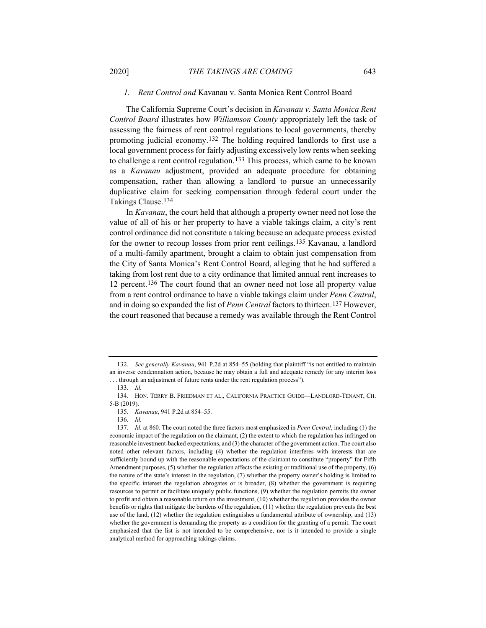# *1. Rent Control and* Kavanau v. Santa Monica Rent Control Board

The California Supreme Court's decision in *Kavanau v. Santa Monica Rent Control Board* illustrates how *Williamson County* appropriately left the task of assessing the fairness of rent control regulations to local governments, thereby promoting judicial economy.132 The holding required landlords to first use a local government process for fairly adjusting excessively low rents when seeking to challenge a rent control regulation.133 This process, which came to be known as a *Kavanau* adjustment, provided an adequate procedure for obtaining compensation, rather than allowing a landlord to pursue an unnecessarily duplicative claim for seeking compensation through federal court under the Takings Clause.134

In *Kavanau*, the court held that although a property owner need not lose the value of all of his or her property to have a viable takings claim, a city's rent control ordinance did not constitute a taking because an adequate process existed for the owner to recoup losses from prior rent ceilings.135 Kavanau, a landlord of a multi-family apartment, brought a claim to obtain just compensation from the City of Santa Monica's Rent Control Board, alleging that he had suffered a taking from lost rent due to a city ordinance that limited annual rent increases to 12 percent.136 The court found that an owner need not lose all property value from a rent control ordinance to have a viable takings claim under *Penn Central*, and in doing so expanded the list of *Penn Central* factors to thirteen.137 However, the court reasoned that because a remedy was available through the Rent Control

<sup>132</sup>*. See generally Kavanau*, 941 P.2d at 854–55 (holding that plaintiff "is not entitled to maintain an inverse condemnation action, because he may obtain a full and adequate remedy for any interim loss . . . through an adjustment of future rents under the rent regulation process").

<sup>133</sup>*. Id.*

<sup>134.</sup> HON. TERRY B. FRIEDMAN ET AL., CALIFORNIA PRACTICE GUIDE—LANDLORD-TENANT, CH. 5-B (2019).

<sup>135</sup>*. Kavanau*, 941 P.2d at 854–55.

<sup>136</sup>*. Id.*

<sup>137</sup>*. Id.* at 860. The court noted the three factors most emphasized in *Penn Central*, including (1) the economic impact of the regulation on the claimant, (2) the extent to which the regulation has infringed on reasonable investment-backed expectations, and (3) the character of the government action. The court also noted other relevant factors, including (4) whether the regulation interferes with interests that are sufficiently bound up with the reasonable expectations of the claimant to constitute "property" for Fifth Amendment purposes, (5) whether the regulation affects the existing or traditional use of the property, (6) the nature of the state's interest in the regulation, (7) whether the property owner's holding is limited to the specific interest the regulation abrogates or is broader, (8) whether the government is requiring resources to permit or facilitate uniquely public functions, (9) whether the regulation permits the owner to profit and obtain a reasonable return on the investment, (10) whether the regulation provides the owner benefits or rights that mitigate the burdens of the regulation, (11) whether the regulation prevents the best use of the land, (12) whether the regulation extinguishes a fundamental attribute of ownership, and (13) whether the government is demanding the property as a condition for the granting of a permit. The court emphasized that the list is not intended to be comprehensive, nor is it intended to provide a single analytical method for approaching takings claims.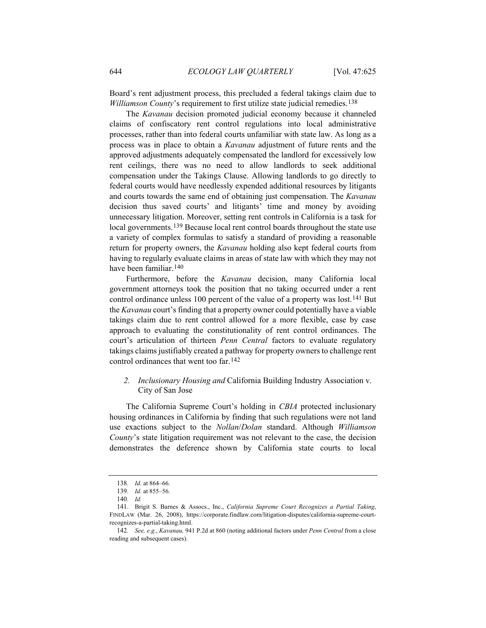Board's rent adjustment process, this precluded a federal takings claim due to *Williamson County*'s requirement to first utilize state judicial remedies.138

The *Kavanau* decision promoted judicial economy because it channeled claims of confiscatory rent control regulations into local administrative processes, rather than into federal courts unfamiliar with state law. As long as a process was in place to obtain a *Kavanau* adjustment of future rents and the approved adjustments adequately compensated the landlord for excessively low rent ceilings, there was no need to allow landlords to seek additional compensation under the Takings Clause. Allowing landlords to go directly to federal courts would have needlessly expended additional resources by litigants and courts towards the same end of obtaining just compensation. The *Kavanau* decision thus saved courts' and litigants' time and money by avoiding unnecessary litigation. Moreover, setting rent controls in California is a task for local governments.139 Because local rent control boards throughout the state use a variety of complex formulas to satisfy a standard of providing a reasonable return for property owners, the *Kavanau* holding also kept federal courts from having to regularly evaluate claims in areas of state law with which they may not have been familiar.140

Furthermore, before the *Kavanau* decision, many California local government attorneys took the position that no taking occurred under a rent control ordinance unless 100 percent of the value of a property was lost.<sup>141</sup> But the *Kavanau* court's finding that a property owner could potentially have a viable takings claim due to rent control allowed for a more flexible, case by case approach to evaluating the constitutionality of rent control ordinances. The court's articulation of thirteen *Penn Central* factors to evaluate regulatory takings claims justifiably created a pathway for property owners to challenge rent control ordinances that went too far.142

# *2. Inclusionary Housing and* California Building Industry Association v. City of San Jose

The California Supreme Court's holding in *CBIA* protected inclusionary housing ordinances in California by finding that such regulations were not land use exactions subject to the *Nollan*/*Dolan* standard. Although *Williamson County*'s state litigation requirement was not relevant to the case, the decision demonstrates the deference shown by California state courts to local

<sup>138</sup>*. Id.* at 864–66.

<sup>139</sup>*. Id.* at 855–56.

<sup>140</sup>*. Id.*

<sup>141.</sup> Brigit S. Barnes & Assocs., Inc., *California Supreme Court Recognizes a Partial Taking*, FINDLAW (Mar. 26, 2008), https://corporate.findlaw.com/litigation-disputes/california-supreme-courtrecognizes-a-partial-taking.html.

<sup>142</sup>*. See, e.g.*, *Kavanau,* 941 P.2d at 860 (noting additional factors under *Penn Central* from a close reading and subsequent cases).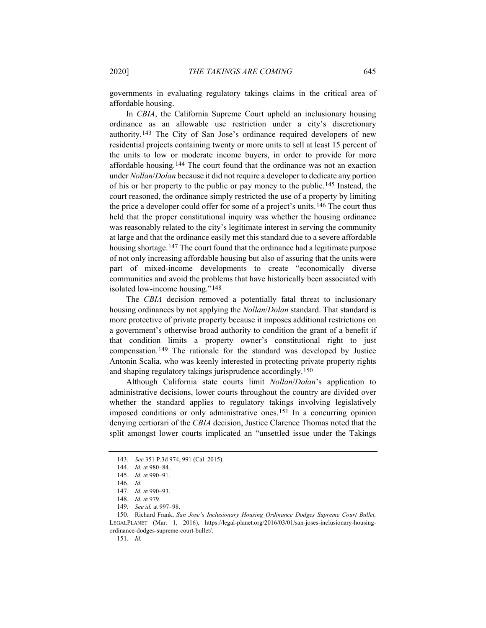governments in evaluating regulatory takings claims in the critical area of affordable housing.

In *CBIA*, the California Supreme Court upheld an inclusionary housing ordinance as an allowable use restriction under a city's discretionary authority.143 The City of San Jose's ordinance required developers of new residential projects containing twenty or more units to sell at least 15 percent of the units to low or moderate income buyers, in order to provide for more affordable housing.144 The court found that the ordinance was not an exaction under *Nollan*/*Dolan* because it did not require a developer to dedicate any portion of his or her property to the public or pay money to the public.145 Instead, the court reasoned, the ordinance simply restricted the use of a property by limiting the price a developer could offer for some of a project's units.146 The court thus held that the proper constitutional inquiry was whether the housing ordinance was reasonably related to the city's legitimate interest in serving the community at large and that the ordinance easily met this standard due to a severe affordable housing shortage.<sup>147</sup> The court found that the ordinance had a legitimate purpose of not only increasing affordable housing but also of assuring that the units were part of mixed-income developments to create "economically diverse communities and avoid the problems that have historically been associated with isolated low-income housing."148

The *CBIA* decision removed a potentially fatal threat to inclusionary housing ordinances by not applying the *Nollan*/*Dolan* standard. That standard is more protective of private property because it imposes additional restrictions on a government's otherwise broad authority to condition the grant of a benefit if that condition limits a property owner's constitutional right to just compensation.149 The rationale for the standard was developed by Justice Antonin Scalia, who was keenly interested in protecting private property rights and shaping regulatory takings jurisprudence accordingly.150

Although California state courts limit *Nollan*/*Dolan*'s application to administrative decisions, lower courts throughout the country are divided over whether the standard applies to regulatory takings involving legislatively imposed conditions or only administrative ones.151 In a concurring opinion denying certiorari of the *CBIA* decision, Justice Clarence Thomas noted that the split amongst lower courts implicated an "unsettled issue under the Takings

<sup>143</sup>*. See* 351 P.3d 974, 991 (Cal. 2015).

<sup>144</sup>*. Id.* at 980–84.

<sup>145</sup>*. Id.* at 990–91.

<sup>146</sup>*. Id.*

<sup>147</sup>*. Id.* at 990–93.

<sup>148</sup>*. Id.* at 979.

<sup>149</sup>*. See id.* at 997–98.

<sup>150.</sup> Richard Frank, *San Jose's Inclusionary Housing Ordinance Dodges Supreme Court Bullet,*  LEGALPLANET (Mar. 1, 2016), https://legal-planet.org/2016/03/01/san-joses-inclusionary-housingordinance-dodges-supreme-court-bullet/.

<sup>151</sup>*. Id.*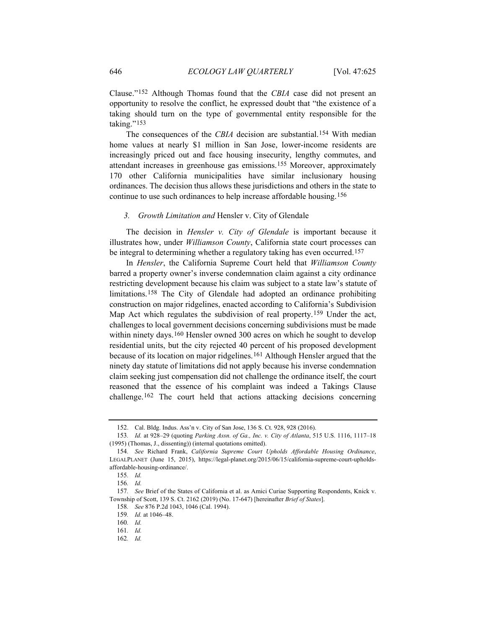Clause."152 Although Thomas found that the *CBIA* case did not present an opportunity to resolve the conflict, he expressed doubt that "the existence of a taking should turn on the type of governmental entity responsible for the taking."<sup>153</sup>

The consequences of the *CBIA* decision are substantial.154 With median home values at nearly \$1 million in San Jose, lower-income residents are increasingly priced out and face housing insecurity, lengthy commutes, and attendant increases in greenhouse gas emissions.155 Moreover, approximately 170 other California municipalities have similar inclusionary housing ordinances. The decision thus allows these jurisdictions and others in the state to continue to use such ordinances to help increase affordable housing.156

#### *3. Growth Limitation and* Hensler v. City of Glendale

The decision in *Hensler v. City of Glendale* is important because it illustrates how, under *Williamson County*, California state court processes can be integral to determining whether a regulatory taking has even occurred.<sup>157</sup>

In *Hensler*, the California Supreme Court held that *Williamson County* barred a property owner's inverse condemnation claim against a city ordinance restricting development because his claim was subject to a state law's statute of limitations.158 The City of Glendale had adopted an ordinance prohibiting construction on major ridgelines, enacted according to California's Subdivision Map Act which regulates the subdivision of real property.159 Under the act, challenges to local government decisions concerning subdivisions must be made within ninety days.<sup>160</sup> Hensler owned 300 acres on which he sought to develop residential units, but the city rejected 40 percent of his proposed development because of its location on major ridgelines.161 Although Hensler argued that the ninety day statute of limitations did not apply because his inverse condemnation claim seeking just compensation did not challenge the ordinance itself, the court reasoned that the essence of his complaint was indeed a Takings Clause challenge.162 The court held that actions attacking decisions concerning

<sup>152.</sup> Cal. Bldg. Indus. Ass'n v. City of San Jose, 136 S. Ct. 928, 928 (2016).

<sup>153</sup>*. Id.* at 928–29 (quoting *Parking Assn. of Ga., Inc. v. City of Atlanta*, 515 U.S. 1116, 1117–18 (1995) (Thomas, J., dissenting)) (internal quotations omitted).

<sup>154</sup>*. See* Richard Frank, *California Supreme Court Upholds Affordable Housing Ordinance*, LEGALPLANET (June 15, 2015), https://legal-planet.org/2015/06/15/california-supreme-court-upholdsaffordable-housing-ordinance/.

<sup>155</sup>*. Id.*

<sup>156</sup>*. Id.*

<sup>157</sup>*. See* Brief of the States of California et al. as Amici Curiae Supporting Respondents, Knick v. Township of Scott, 139 S. Ct. 2162 (2019) (No. 17-647) [hereinafter *Brief of States*].

<sup>158</sup>*. See* 876 P.2d 1043, 1046 (Cal. 1994).

<sup>159</sup>*. Id.* at 1046–48.

<sup>160</sup>*. Id.*

<sup>161</sup>*. Id.*

<sup>162</sup>*. Id.*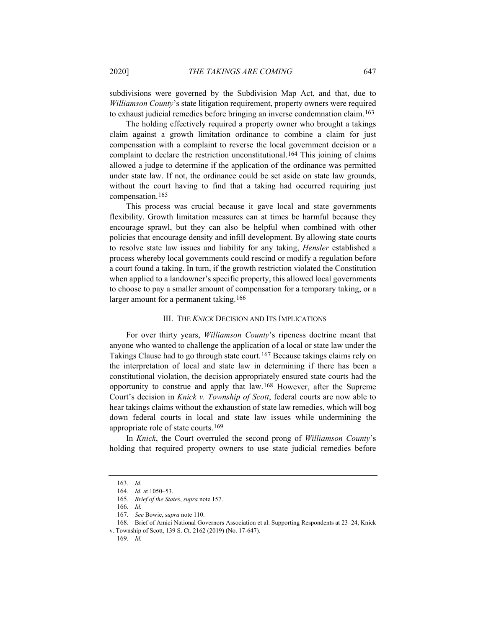subdivisions were governed by the Subdivision Map Act, and that, due to *Williamson County*'s state litigation requirement, property owners were required to exhaust judicial remedies before bringing an inverse condemnation claim.163

The holding effectively required a property owner who brought a takings claim against a growth limitation ordinance to combine a claim for just compensation with a complaint to reverse the local government decision or a complaint to declare the restriction unconstitutional.164 This joining of claims allowed a judge to determine if the application of the ordinance was permitted under state law. If not, the ordinance could be set aside on state law grounds, without the court having to find that a taking had occurred requiring just compensation.165

This process was crucial because it gave local and state governments flexibility. Growth limitation measures can at times be harmful because they encourage sprawl, but they can also be helpful when combined with other policies that encourage density and infill development. By allowing state courts to resolve state law issues and liability for any taking, *Hensler* established a process whereby local governments could rescind or modify a regulation before a court found a taking. In turn, if the growth restriction violated the Constitution when applied to a landowner's specific property, this allowed local governments to choose to pay a smaller amount of compensation for a temporary taking, or a larger amount for a permanent taking.<sup>166</sup>

#### III. THE *KNICK* DECISION AND ITS IMPLICATIONS

For over thirty years, *Williamson County*'s ripeness doctrine meant that anyone who wanted to challenge the application of a local or state law under the Takings Clause had to go through state court.167 Because takings claims rely on the interpretation of local and state law in determining if there has been a constitutional violation, the decision appropriately ensured state courts had the opportunity to construe and apply that law.168 However, after the Supreme Court's decision in *Knick v. Township of Scott*, federal courts are now able to hear takings claims without the exhaustion of state law remedies, which will bog down federal courts in local and state law issues while undermining the appropriate role of state courts.169

In *Knick*, the Court overruled the second prong of *Williamson County*'s holding that required property owners to use state judicial remedies before

<sup>163</sup>*. Id.*

<sup>164</sup>*. Id.* at 1050–53.

<sup>165</sup>*. Brief of the States*, *supra* note 157.

<sup>166</sup>*. Id.*

<sup>167</sup>*. See* Bowie, *supra* note 110.

<sup>168.</sup> Brief of Amici National Governors Association et al. Supporting Respondents at 23–24, Knick v. Township of Scott, 139 S. Ct. 2162 (2019) (No. 17-647).

<sup>169</sup>*. Id.*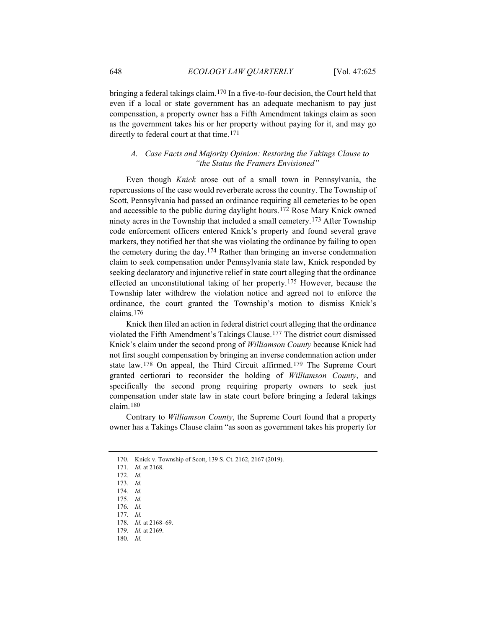bringing a federal takings claim.170 In a five-to-four decision, the Court held that even if a local or state government has an adequate mechanism to pay just compensation, a property owner has a Fifth Amendment takings claim as soon as the government takes his or her property without paying for it, and may go directly to federal court at that time.<sup>171</sup>

# *A. Case Facts and Majority Opinion: Restoring the Takings Clause to "the Status the Framers Envisioned"*

Even though *Knick* arose out of a small town in Pennsylvania, the repercussions of the case would reverberate across the country. The Township of Scott, Pennsylvania had passed an ordinance requiring all cemeteries to be open and accessible to the public during daylight hours.172 Rose Mary Knick owned ninety acres in the Township that included a small cemetery.173 After Township code enforcement officers entered Knick's property and found several grave markers, they notified her that she was violating the ordinance by failing to open the cemetery during the day.174 Rather than bringing an inverse condemnation claim to seek compensation under Pennsylvania state law, Knick responded by seeking declaratory and injunctive relief in state court alleging that the ordinance effected an unconstitutional taking of her property.175 However, because the Township later withdrew the violation notice and agreed not to enforce the ordinance, the court granted the Township's motion to dismiss Knick's claims.176

Knick then filed an action in federal district court alleging that the ordinance violated the Fifth Amendment's Takings Clause.177 The district court dismissed Knick's claim under the second prong of *Williamson County* because Knick had not first sought compensation by bringing an inverse condemnation action under state law.178 On appeal, the Third Circuit affirmed.179 The Supreme Court granted certiorari to reconsider the holding of *Williamson County*, and specifically the second prong requiring property owners to seek just compensation under state law in state court before bringing a federal takings claim.180

Contrary to *Williamson County*, the Supreme Court found that a property owner has a Takings Clause claim "as soon as government takes his property for

<sup>170.</sup> Knick v. Township of Scott, 139 S. Ct. 2162, 2167 (2019).

<sup>171</sup>*. Id.* at 2168.

<sup>172</sup>*. Id.*

<sup>173</sup>*. Id.*

<sup>174</sup>*. Id.*

<sup>175</sup>*. Id.*

<sup>176</sup>*. Id.*

<sup>177</sup>*. Id.*

<sup>178</sup>*. Id.* at 2168–69.

<sup>179</sup>*. Id.* at 2169.

<sup>180</sup>*. Id.*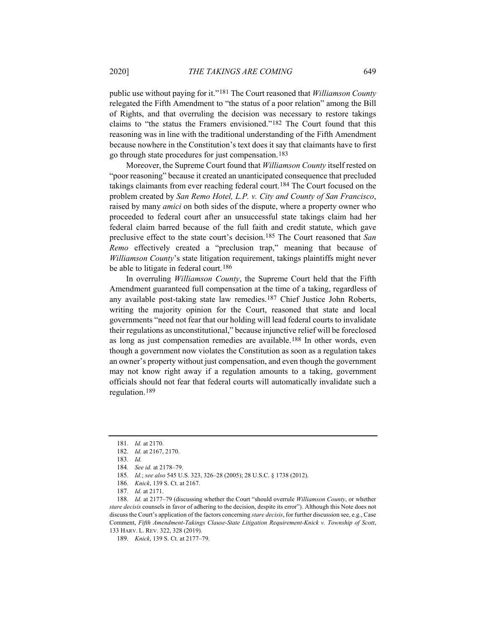public use without paying for it."181 The Court reasoned that *Williamson County* relegated the Fifth Amendment to "the status of a poor relation" among the Bill of Rights, and that overruling the decision was necessary to restore takings claims to "the status the Framers envisioned."182 The Court found that this reasoning was in line with the traditional understanding of the Fifth Amendment because nowhere in the Constitution's text does it say that claimants have to first go through state procedures for just compensation.183

Moreover, the Supreme Court found that *Williamson County* itself rested on "poor reasoning" because it created an unanticipated consequence that precluded takings claimants from ever reaching federal court.184 The Court focused on the problem created by *San Remo Hotel, L.P. v. City and County of San Francisco*, raised by many *amici* on both sides of the dispute, where a property owner who proceeded to federal court after an unsuccessful state takings claim had her federal claim barred because of the full faith and credit statute, which gave preclusive effect to the state court's decision.185 The Court reasoned that *San Remo* effectively created a "preclusion trap," meaning that because of *Williamson County*'s state litigation requirement, takings plaintiffs might never be able to litigate in federal court.<sup>186</sup>

In overruling *Williamson County*, the Supreme Court held that the Fifth Amendment guaranteed full compensation at the time of a taking, regardless of any available post-taking state law remedies.187 Chief Justice John Roberts, writing the majority opinion for the Court, reasoned that state and local governments "need not fear that our holding will lead federal courts to invalidate their regulations as unconstitutional," because injunctive relief will be foreclosed as long as just compensation remedies are available.188 In other words, even though a government now violates the Constitution as soon as a regulation takes an owner's property without just compensation, and even though the government may not know right away if a regulation amounts to a taking, government officials should not fear that federal courts will automatically invalidate such a regulation.189

<sup>181</sup>*. Id.* at 2170.

<sup>182</sup>*. Id.* at 2167, 2170.

<sup>183</sup>*. Id.*

<sup>184</sup>*. See id.* at 2178–79.

<sup>185</sup>*. Id.*; *see also* 545 U.S. 323, 326–28 (2005); 28 U.S.C. § 1738 (2012).

<sup>186</sup>*. Knick*, 139 S. Ct. at 2167.

<sup>187</sup>*. Id.* at 2171.

<sup>188</sup>*. Id.* at 2177–79 (discussing whether the Court "should overrule *Williamson County*, or whether *stare decisis* counsels in favor of adhering to the decision, despite its error"). Although this Note does not discuss the Court's application of the factors concerning *stare decisis*, for further discussion see, e.g., Case Comment, *Fifth Amendment-Takings Clause-State Litigation Requirement-Knick v. Township of Scott*, 133 HARV. L. REV. 322, 328 (2019).

<sup>189</sup>*. Knick*, 139 S. Ct. at 2177–79.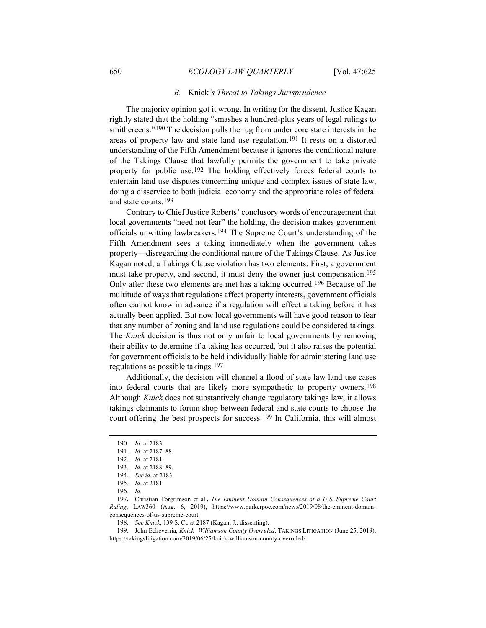#### *B.* Knick*'s Threat to Takings Jurisprudence*

The majority opinion got it wrong. In writing for the dissent, Justice Kagan rightly stated that the holding "smashes a hundred-plus years of legal rulings to smithereens."<sup>190</sup> The decision pulls the rug from under core state interests in the areas of property law and state land use regulation.191 It rests on a distorted understanding of the Fifth Amendment because it ignores the conditional nature of the Takings Clause that lawfully permits the government to take private property for public use.192 The holding effectively forces federal courts to entertain land use disputes concerning unique and complex issues of state law, doing a disservice to both judicial economy and the appropriate roles of federal and state courts.193

Contrary to Chief Justice Roberts' conclusory words of encouragement that local governments "need not fear" the holding, the decision makes government officials unwitting lawbreakers.194 The Supreme Court's understanding of the Fifth Amendment sees a taking immediately when the government takes property—disregarding the conditional nature of the Takings Clause. As Justice Kagan noted, a Takings Clause violation has two elements: First, a government must take property, and second, it must deny the owner just compensation.195 Only after these two elements are met has a taking occurred.196 Because of the multitude of ways that regulations affect property interests, government officials often cannot know in advance if a regulation will effect a taking before it has actually been applied. But now local governments will have good reason to fear that any number of zoning and land use regulations could be considered takings. The *Knick* decision is thus not only unfair to local governments by removing their ability to determine if a taking has occurred, but it also raises the potential for government officials to be held individually liable for administering land use regulations as possible takings.197

Additionally, the decision will channel a flood of state law land use cases into federal courts that are likely more sympathetic to property owners.198 Although *Knick* does not substantively change regulatory takings law, it allows takings claimants to forum shop between federal and state courts to choose the court offering the best prospects for success.<sup>199</sup> In California, this will almost

<sup>190</sup>*. Id.* at 2183.

<sup>191</sup>*. Id.* at 2187–88.

<sup>192</sup>*. Id.* at 2181.

<sup>193</sup>*. Id.* at 2188–89.

<sup>194</sup>*. See id.* at 2183.

<sup>195</sup>*. Id.* at 2181.

<sup>196</sup>*. Id.*

<sup>197</sup>**.** Christian Torgrimson et al.**,** *The Eminent Domain Consequences of a U.S. Supreme Court Ruling*, LAW360 (Aug. 6, 2019), https://www.parkerpoe.com/news/2019/08/the-eminent-domainconsequences-of-us-supreme-court.

<sup>198</sup>*. See Knick*, 139 S. Ct. at 2187 (Kagan, J., dissenting).

<sup>199.</sup> John Echeverria, *Knick Williamson County Overruled*, TAKINGS LITIGATION (June 25, 2019), https://takingslitigation.com/2019/06/25/knick-williamson-county-overruled/.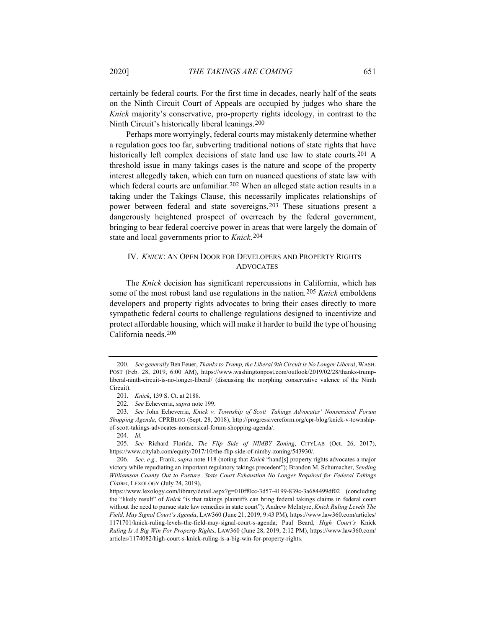certainly be federal courts. For the first time in decades, nearly half of the seats on the Ninth Circuit Court of Appeals are occupied by judges who share the *Knick* majority's conservative, pro-property rights ideology, in contrast to the Ninth Circuit's historically liberal leanings.200

Perhaps more worryingly, federal courts may mistakenly determine whether a regulation goes too far, subverting traditional notions of state rights that have historically left complex decisions of state land use law to state courts.<sup>201</sup> A threshold issue in many takings cases is the nature and scope of the property interest allegedly taken, which can turn on nuanced questions of state law with which federal courts are unfamiliar.<sup>202</sup> When an alleged state action results in a taking under the Takings Clause, this necessarily implicates relationships of power between federal and state sovereigns.203 These situations present a dangerously heightened prospect of overreach by the federal government, bringing to bear federal coercive power in areas that were largely the domain of state and local governments prior to *Knick*.204

# IV. *KNICK*: AN OPEN DOOR FOR DEVELOPERS AND PROPERTY RIGHTS ADVOCATES

The *Knick* decision has significant repercussions in California, which has some of the most robust land use regulations in the nation*.*205 *Knick* emboldens developers and property rights advocates to bring their cases directly to more sympathetic federal courts to challenge regulations designed to incentivize and protect affordable housing, which will make it harder to build the type of housing California needs.206

<sup>200</sup>*. See generally* Ben Feuer, *Thanks to Trump, the Liberal 9th Circuit is No Longer Liberal*, WASH. POST (Feb. 28, 2019, 6:00 AM), https://www.washingtonpost.com/outlook/2019/02/28/thanks-trumpliberal-ninth-circuit-is-no-longer-liberal/ (discussing the morphing conservative valence of the Ninth Circuit).

<sup>201</sup>*. Knick*, 139 S. Ct. at 2188.

<sup>202</sup>*. See* Echeverria, *supra* note 199.

<sup>203</sup>*. See* John Echeverria, *Knick v. Township of Scott Takings Advocates' Nonsensical Forum Shopping Agenda*, CPRBLOG (Sept. 28, 2018), http://progressivereform.org/cpr-blog/knick-v-townshipof-scott-takings-advocates-nonsensical-forum-shopping-agenda/.

<sup>204</sup>*. Id.*

<sup>205</sup>*. See* Richard Florida, *The Flip Side of NIMBY Zoning*, CITYLAB (Oct. 26, 2017), https://www.citylab.com/equity/2017/10/the-flip-side-of-nimby-zoning/543930/.

<sup>206</sup>*. See, e.g.,* Frank, *supra* note 118 (noting that *Knick* "hand[s] property rights advocates a major victory while repudiating an important regulatory takings precedent"); Brandon M. Schumacher, *Sending Williamson County Out to Pasture State Court Exhaustion No Longer Required for Federal Takings Claims*, LEXOLOGY (July 24, 2019),

https://www.lexology.com/library/detail.aspx?g=010ff0cc-3d57-4199-839c-3a684499df02 (concluding the "likely result" of *Knick* "is that takings plaintiffs can bring federal takings claims in federal court without the need to pursue state law remedies in state court"); Andrew McIntyre, *Knick Ruling Levels The Field, May Signal Court's Agenda*, LAW360 (June 21, 2019, 9:43 PM), https://www.law360.com/articles/ 1171701/knick-ruling-levels-the-field-may-signal-court-s-agenda; Paul Beard, *High Court's* Knick *Ruling Is A Big Win For Property Rights*, LAW360 (June 28, 2019, 2:12 PM), https://www.law360.com/ articles/1174082/high-court-s-knick-ruling-is-a-big-win-for-property-rights.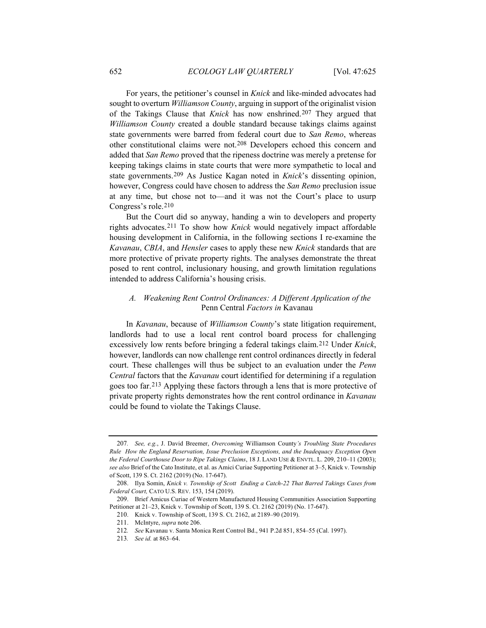For years, the petitioner's counsel in *Knick* and like-minded advocates had sought to overturn *Williamson County*, arguing in support of the originalist vision of the Takings Clause that *Knick* has now enshrined.207 They argued that *Williamson County* created a double standard because takings claims against state governments were barred from federal court due to *San Remo*, whereas other constitutional claims were not.208 Developers echoed this concern and added that *San Remo* proved that the ripeness doctrine was merely a pretense for keeping takings claims in state courts that were more sympathetic to local and state governments.209 As Justice Kagan noted in *Knick*'s dissenting opinion, however, Congress could have chosen to address the *San Remo* preclusion issue at any time, but chose not to—and it was not the Court's place to usurp Congress's role.210

But the Court did so anyway, handing a win to developers and property rights advocates.211 To show how *Knick* would negatively impact affordable housing development in California, in the following sections I re-examine the *Kavanau*, *CBIA*, and *Hensler* cases to apply these new *Knick* standards that are more protective of private property rights. The analyses demonstrate the threat posed to rent control, inclusionary housing, and growth limitation regulations intended to address California's housing crisis.

# *A. Weakening Rent Control Ordinances: A Different Application of the*  Penn Central *Factors in* Kavanau

In *Kavanau*, because of *Williamson County*'s state litigation requirement, landlords had to use a local rent control board process for challenging excessively low rents before bringing a federal takings claim.212 Under *Knick*, however, landlords can now challenge rent control ordinances directly in federal court. These challenges will thus be subject to an evaluation under the *Penn Central* factors that the *Kavanau* court identified for determining if a regulation goes too far.213 Applying these factors through a lens that is more protective of private property rights demonstrates how the rent control ordinance in *Kavanau* could be found to violate the Takings Clause.

<sup>207</sup>*. See, e.g.*, J. David Breemer, *Overcoming* Williamson County*'s Troubling State Procedures Rule How the England Reservation, Issue Preclusion Exceptions, and the Inadequacy Exception Open the Federal Courthouse Door to Ripe Takings Claims*, 18 J. LAND USE & ENVTL. L. 209, 210–11 (2003); *see also* Brief of the Cato Institute, et al. as Amici Curiae Supporting Petitioner at 3–5, Knick v. Township of Scott, 139 S. Ct. 2162 (2019) (No. 17-647).

<sup>208.</sup> Ilya Somin, *Knick v. Township of Scott Ending a Catch-22 That Barred Takings Cases from Federal Court,* CATO U.S. REV. 153, 154 (2019).

<sup>209.</sup> Brief Amicus Curiae of Western Manufactured Housing Communities Association Supporting Petitioner at 21–23, Knick v. Township of Scott, 139 S. Ct. 2162 (2019) (No. 17-647).

<sup>210.</sup> Knick v. Township of Scott, 139 S. Ct. 2162, at 2189–90 (2019).

<sup>211.</sup> McIntyre, *supra* note 206.

<sup>212</sup>*. See* Kavanau v. Santa Monica Rent Control Bd., 941 P.2d 851, 854–55 (Cal. 1997).

<sup>213</sup>*. See id.* at 863–64.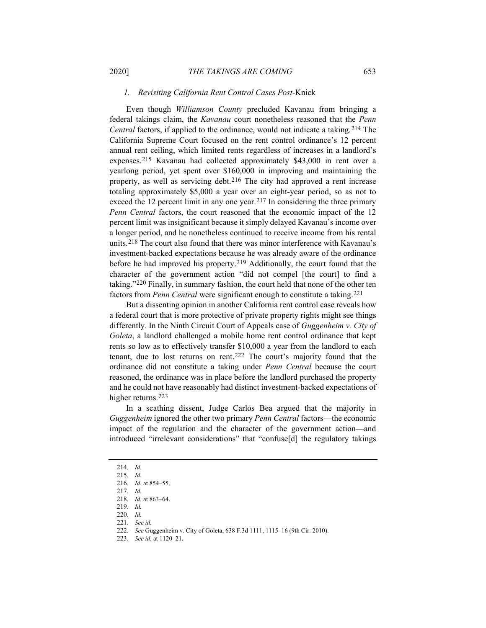#### *1. Revisiting California Rent Control Cases Post-*Knick

Even though *Williamson County* precluded Kavanau from bringing a federal takings claim, the *Kavanau* court nonetheless reasoned that the *Penn Central* factors, if applied to the ordinance, would not indicate a taking.214 The California Supreme Court focused on the rent control ordinance's 12 percent annual rent ceiling, which limited rents regardless of increases in a landlord's expenses.215 Kavanau had collected approximately \$43,000 in rent over a yearlong period, yet spent over \$160,000 in improving and maintaining the property, as well as servicing debt.216 The city had approved a rent increase totaling approximately \$5,000 a year over an eight-year period, so as not to exceed the 12 percent limit in any one year.<sup>217</sup> In considering the three primary *Penn Central* factors, the court reasoned that the economic impact of the 12 percent limit was insignificant because it simply delayed Kavanau's income over a longer period, and he nonetheless continued to receive income from his rental units.218 The court also found that there was minor interference with Kavanau's investment-backed expectations because he was already aware of the ordinance before he had improved his property.219 Additionally, the court found that the character of the government action "did not compel [the court] to find a taking."220 Finally, in summary fashion, the court held that none of the other ten factors from *Penn Central* were significant enough to constitute a taking.221

But a dissenting opinion in another California rent control case reveals how a federal court that is more protective of private property rights might see things differently. In the Ninth Circuit Court of Appeals case of *Guggenheim v. City of Goleta*, a landlord challenged a mobile home rent control ordinance that kept rents so low as to effectively transfer \$10,000 a year from the landlord to each tenant, due to lost returns on rent.222 The court's majority found that the ordinance did not constitute a taking under *Penn Central* because the court reasoned, the ordinance was in place before the landlord purchased the property and he could not have reasonably had distinct investment-backed expectations of higher returns.223

In a scathing dissent, Judge Carlos Bea argued that the majority in *Guggenheim* ignored the other two primary *Penn Central* factors—the economic impact of the regulation and the character of the government action—and introduced "irrelevant considerations" that "confuse[d] the regulatory takings

<sup>214</sup>*. Id.*

<sup>215</sup>*. Id.*

<sup>216</sup>*. Id.* at 854–55.

<sup>217</sup>*. Id.*

<sup>218</sup>*. Id.* at 863–64.

<sup>219</sup>*. Id.*

<sup>220</sup>*. Id.*

<sup>221</sup>*. See id.*

<sup>222</sup>*. See* Guggenheim v. City of Goleta, 638 F.3d 1111, 1115–16 (9th Cir. 2010).

<sup>223</sup>*. See id.* at 1120–21.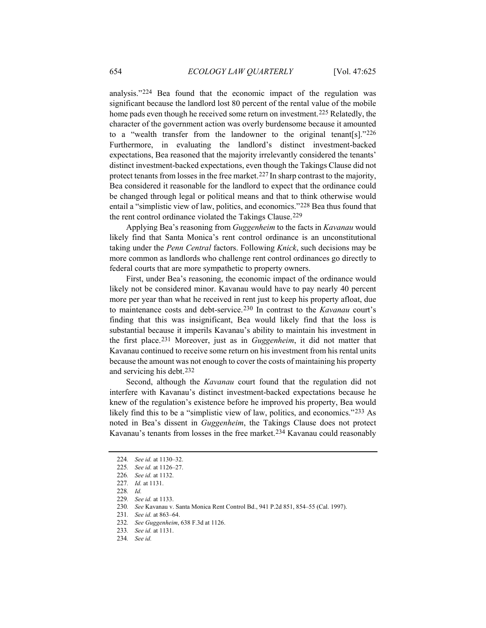analysis."224 Bea found that the economic impact of the regulation was significant because the landlord lost 80 percent of the rental value of the mobile home pads even though he received some return on investment.<sup>225</sup> Relatedly, the character of the government action was overly burdensome because it amounted to a "wealth transfer from the landowner to the original tenant[s]."226 Furthermore, in evaluating the landlord's distinct investment-backed expectations, Bea reasoned that the majority irrelevantly considered the tenants' distinct investment-backed expectations, even though the Takings Clause did not protect tenants from losses in the free market.227 In sharp contrast to the majority, Bea considered it reasonable for the landlord to expect that the ordinance could be changed through legal or political means and that to think otherwise would entail a "simplistic view of law, politics, and economics."228 Bea thus found that the rent control ordinance violated the Takings Clause.229

Applying Bea's reasoning from *Guggenheim* to the facts in *Kavanau* would likely find that Santa Monica's rent control ordinance is an unconstitutional taking under the *Penn Central* factors. Following *Knick*, such decisions may be more common as landlords who challenge rent control ordinances go directly to federal courts that are more sympathetic to property owners.

First, under Bea's reasoning, the economic impact of the ordinance would likely not be considered minor. Kavanau would have to pay nearly 40 percent more per year than what he received in rent just to keep his property afloat, due to maintenance costs and debt-service.230 In contrast to the *Kavanau* court's finding that this was insignificant, Bea would likely find that the loss is substantial because it imperils Kavanau's ability to maintain his investment in the first place.231 Moreover, just as in *Guggenheim*, it did not matter that Kavanau continued to receive some return on his investment from his rental units because the amount was not enough to cover the costs of maintaining his property and servicing his debt.232

Second, although the *Kavanau* court found that the regulation did not interfere with Kavanau's distinct investment-backed expectations because he knew of the regulation's existence before he improved his property, Bea would likely find this to be a "simplistic view of law, politics, and economics."233 As noted in Bea's dissent in *Guggenheim*, the Takings Clause does not protect Kavanau's tenants from losses in the free market.<sup>234</sup> Kavanau could reasonably

<sup>224</sup>*. See id.* at 1130–32.

<sup>225</sup>*. See id.* at 1126–27.

<sup>226</sup>*. See id.* at 1132.

<sup>227</sup>*. Id.* at 1131.

<sup>228</sup>*. Id.*

<sup>229</sup>*. See id.* at 1133.

<sup>230</sup>*. See* Kavanau v. Santa Monica Rent Control Bd., 941 P.2d 851, 854–55 (Cal. 1997).

<sup>231</sup>*. See id.* at 863–64.

<sup>232</sup>*. See Guggenheim*, 638 F.3d at 1126.

<sup>233</sup>*. See id.* at 1131.

<sup>234</sup>*. See id.*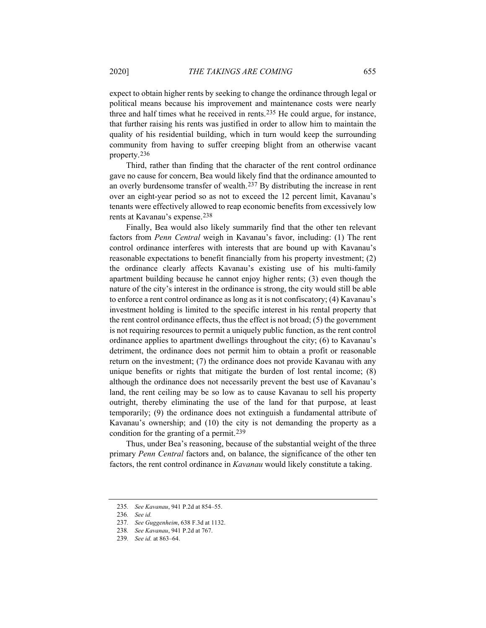expect to obtain higher rents by seeking to change the ordinance through legal or political means because his improvement and maintenance costs were nearly three and half times what he received in rents.235 He could argue, for instance, that further raising his rents was justified in order to allow him to maintain the quality of his residential building, which in turn would keep the surrounding community from having to suffer creeping blight from an otherwise vacant property.236

Third, rather than finding that the character of the rent control ordinance gave no cause for concern, Bea would likely find that the ordinance amounted to an overly burdensome transfer of wealth.237 By distributing the increase in rent over an eight-year period so as not to exceed the 12 percent limit, Kavanau's tenants were effectively allowed to reap economic benefits from excessively low rents at Kavanau's expense.238

Finally, Bea would also likely summarily find that the other ten relevant factors from *Penn Central* weigh in Kavanau's favor, including: (1) The rent control ordinance interferes with interests that are bound up with Kavanau's reasonable expectations to benefit financially from his property investment; (2) the ordinance clearly affects Kavanau's existing use of his multi-family apartment building because he cannot enjoy higher rents; (3) even though the nature of the city's interest in the ordinance is strong, the city would still be able to enforce a rent control ordinance as long as it is not confiscatory; (4) Kavanau's investment holding is limited to the specific interest in his rental property that the rent control ordinance effects, thus the effect is not broad; (5) the government is not requiring resources to permit a uniquely public function, as the rent control ordinance applies to apartment dwellings throughout the city; (6) to Kavanau's detriment, the ordinance does not permit him to obtain a profit or reasonable return on the investment; (7) the ordinance does not provide Kavanau with any unique benefits or rights that mitigate the burden of lost rental income; (8) although the ordinance does not necessarily prevent the best use of Kavanau's land, the rent ceiling may be so low as to cause Kavanau to sell his property outright, thereby eliminating the use of the land for that purpose, at least temporarily; (9) the ordinance does not extinguish a fundamental attribute of Kavanau's ownership; and (10) the city is not demanding the property as a condition for the granting of a permit.239

Thus, under Bea's reasoning, because of the substantial weight of the three primary *Penn Central* factors and, on balance, the significance of the other ten factors, the rent control ordinance in *Kavanau* would likely constitute a taking.

<sup>235</sup>*. See Kavanau*, 941 P.2d at 854–55.

<sup>236</sup>*. See id.*

<sup>237</sup>*. See Guggenheim*, 638 F.3d at 1132.

<sup>238</sup>*. See Kavanau*, 941 P.2d at 767.

<sup>239</sup>*. See id.* at 863–64.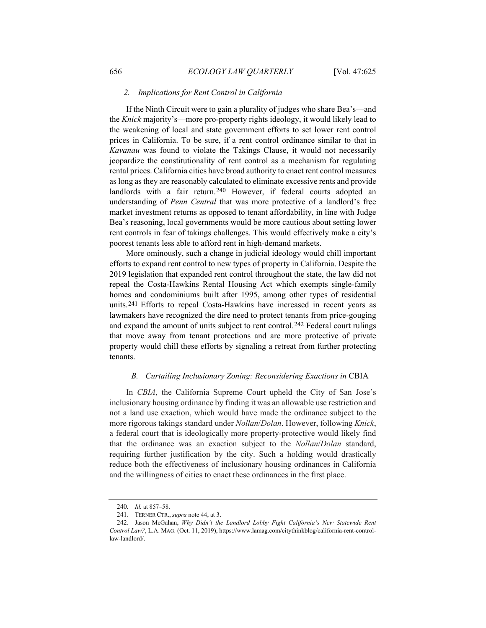#### *2. Implications for Rent Control in California*

If the Ninth Circuit were to gain a plurality of judges who share Bea's—and the *Knick* majority's—more pro-property rights ideology, it would likely lead to the weakening of local and state government efforts to set lower rent control prices in California. To be sure, if a rent control ordinance similar to that in *Kavanau* was found to violate the Takings Clause, it would not necessarily jeopardize the constitutionality of rent control as a mechanism for regulating rental prices. California cities have broad authority to enact rent control measures as long as they are reasonably calculated to eliminate excessive rents and provide landlords with a fair return.<sup>240</sup> However, if federal courts adopted an understanding of *Penn Central* that was more protective of a landlord's free market investment returns as opposed to tenant affordability, in line with Judge Bea's reasoning, local governments would be more cautious about setting lower rent controls in fear of takings challenges. This would effectively make a city's poorest tenants less able to afford rent in high-demand markets.

More ominously, such a change in judicial ideology would chill important efforts to expand rent control to new types of property in California. Despite the 2019 legislation that expanded rent control throughout the state, the law did not repeal the Costa-Hawkins Rental Housing Act which exempts single-family homes and condominiums built after 1995, among other types of residential units.241 Efforts to repeal Costa-Hawkins have increased in recent years as lawmakers have recognized the dire need to protect tenants from price-gouging and expand the amount of units subject to rent control.242 Federal court rulings that move away from tenant protections and are more protective of private property would chill these efforts by signaling a retreat from further protecting tenants.

#### *B. Curtailing Inclusionary Zoning: Reconsidering Exactions in* CBIA

In *CBIA*, the California Supreme Court upheld the City of San Jose's inclusionary housing ordinance by finding it was an allowable use restriction and not a land use exaction, which would have made the ordinance subject to the more rigorous takings standard under *Nollan*/*Dolan*. However, following *Knick*, a federal court that is ideologically more property-protective would likely find that the ordinance was an exaction subject to the *Nollan*/*Dolan* standard, requiring further justification by the city. Such a holding would drastically reduce both the effectiveness of inclusionary housing ordinances in California and the willingness of cities to enact these ordinances in the first place.

<sup>240</sup>*. Id.* at 857–58.

<sup>241.</sup> TERNER CTR., *supra* note 44, at 3.

<sup>242.</sup> Jason McGahan, *Why Didn't the Landlord Lobby Fight California's New Statewide Rent Control Law?*, L.A. MAG. (Oct. 11, 2019), https://www.lamag.com/citythinkblog/california-rent-controllaw-landlord/.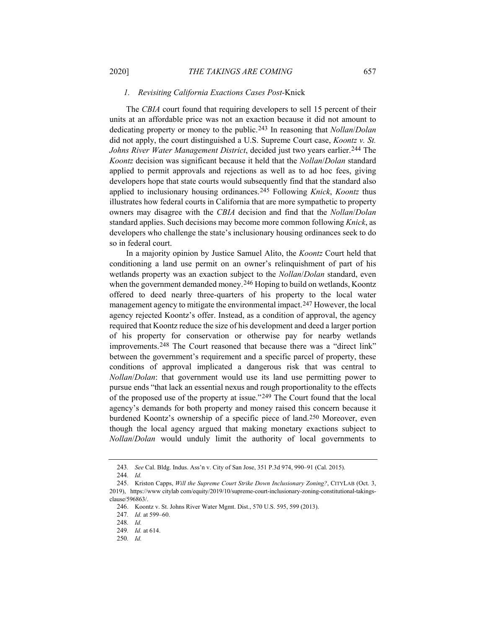#### *1. Revisiting California Exactions Cases Post-*Knick

The *CBIA* court found that requiring developers to sell 15 percent of their units at an affordable price was not an exaction because it did not amount to dedicating property or money to the public.243 In reasoning that *Nollan*/*Dolan* did not apply, the court distinguished a U.S. Supreme Court case, *Koontz v. St. Johns River Water Management District*, decided just two years earlier.<sup>244</sup> The *Koontz* decision was significant because it held that the *Nollan*/*Dolan* standard applied to permit approvals and rejections as well as to ad hoc fees, giving developers hope that state courts would subsequently find that the standard also applied to inclusionary housing ordinances.245 Following *Knick*, *Koontz* thus illustrates how federal courts in California that are more sympathetic to property owners may disagree with the *CBIA* decision and find that the *Nollan*/*Dolan* standard applies. Such decisions may become more common following *Knick*, as developers who challenge the state's inclusionary housing ordinances seek to do so in federal court.

In a majority opinion by Justice Samuel Alito, the *Koontz* Court held that conditioning a land use permit on an owner's relinquishment of part of his wetlands property was an exaction subject to the *Nollan*/*Dolan* standard, even when the government demanded money.<sup>246</sup> Hoping to build on wetlands, Koontz offered to deed nearly three-quarters of his property to the local water management agency to mitigate the environmental impact.247 However, the local agency rejected Koontz's offer. Instead, as a condition of approval, the agency required that Koontz reduce the size of his development and deed a larger portion of his property for conservation or otherwise pay for nearby wetlands improvements.248 The Court reasoned that because there was a "direct link" between the government's requirement and a specific parcel of property, these conditions of approval implicated a dangerous risk that was central to *Nollan*/*Dolan*: that government would use its land use permitting power to pursue ends "that lack an essential nexus and rough proportionality to the effects of the proposed use of the property at issue."249 The Court found that the local agency's demands for both property and money raised this concern because it burdened Koontz's ownership of a specific piece of land.250 Moreover, even though the local agency argued that making monetary exactions subject to *Nollan*/*Dolan* would unduly limit the authority of local governments to

<sup>243</sup>*. See* Cal. Bldg. Indus. Ass'n v. City of San Jose, 351 P.3d 974, 990–91 (Cal. 2015).

<sup>244</sup>*. Id.*

<sup>245.</sup> Kriston Capps, *Will the Supreme Court Strike Down Inclusionary Zoning?*, CITYLAB (Oct. 3, 2019), https://www citylab com/equity/2019/10/supreme-court-inclusionary-zoning-constitutional-takingsclause/596863/.

<sup>246.</sup> Koontz v. St. Johns River Water Mgmt. Dist., 570 U.S. 595, 599 (2013).

<sup>247</sup>*. Id.* at 599–60.

<sup>248</sup>*. Id.*

<sup>249</sup>*. Id.* at 614.

<sup>250</sup>*. Id.*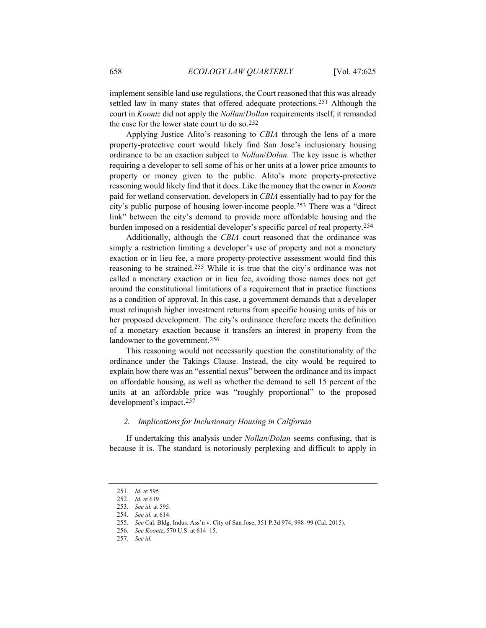implement sensible land use regulations, the Court reasoned that this was already settled law in many states that offered adequate protections.251 Although the court in *Koontz* did not apply the *Nollan*/*Dollan* requirements itself, it remanded the case for the lower state court to do so.252

Applying Justice Alito's reasoning to *CBIA* through the lens of a more property-protective court would likely find San Jose's inclusionary housing ordinance to be an exaction subject to *Nollan*/*Dolan*. The key issue is whether requiring a developer to sell some of his or her units at a lower price amounts to property or money given to the public. Alito's more property-protective reasoning would likely find that it does. Like the money that the owner in *Koontz* paid for wetland conservation, developers in *CBIA* essentially had to pay for the city's public purpose of housing lower-income people.253 There was a "direct link" between the city's demand to provide more affordable housing and the burden imposed on a residential developer's specific parcel of real property.254

Additionally, although the *CBIA* court reasoned that the ordinance was simply a restriction limiting a developer's use of property and not a monetary exaction or in lieu fee, a more property-protective assessment would find this reasoning to be strained.255 While it is true that the city's ordinance was not called a monetary exaction or in lieu fee, avoiding those names does not get around the constitutional limitations of a requirement that in practice functions as a condition of approval. In this case, a government demands that a developer must relinquish higher investment returns from specific housing units of his or her proposed development. The city's ordinance therefore meets the definition of a monetary exaction because it transfers an interest in property from the landowner to the government.256

This reasoning would not necessarily question the constitutionality of the ordinance under the Takings Clause. Instead, the city would be required to explain how there was an "essential nexus" between the ordinance and its impact on affordable housing, as well as whether the demand to sell 15 percent of the units at an affordable price was "roughly proportional" to the proposed development's impact.257

#### *2. Implications for Inclusionary Housing in California*

If undertaking this analysis under *Nollan*/*Dolan* seems confusing, that is because it is. The standard is notoriously perplexing and difficult to apply in

<sup>251</sup>*. Id.* at 595.

<sup>252</sup>*. Id.* at 619.

<sup>253</sup>*. See id.* at 595.

<sup>254</sup>*. See id.* at 614.

<sup>255</sup>*. See* Cal. Bldg. Indus. Ass'n v. City of San Jose, 351 P.3d 974, 998–99 (Cal. 2015).

<sup>256</sup>*. See Koontz*, 570 U.S. at 614–15.

<sup>257</sup>*. See id.*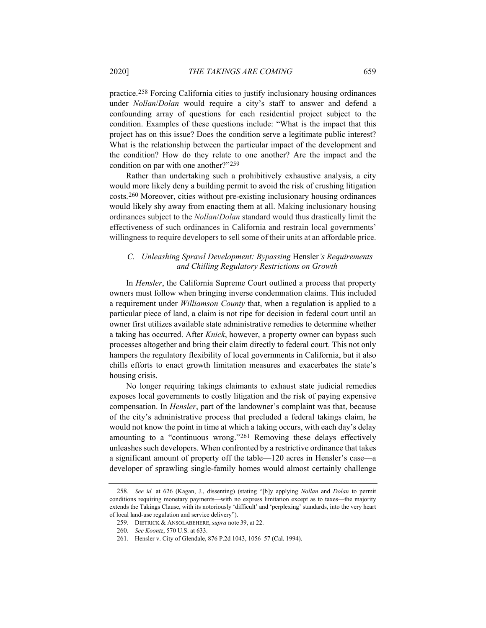practice.258 Forcing California cities to justify inclusionary housing ordinances under *Nollan*/*Dolan* would require a city's staff to answer and defend a confounding array of questions for each residential project subject to the condition. Examples of these questions include: "What is the impact that this project has on this issue? Does the condition serve a legitimate public interest? What is the relationship between the particular impact of the development and the condition? How do they relate to one another? Are the impact and the condition on par with one another?"259

Rather than undertaking such a prohibitively exhaustive analysis, a city would more likely deny a building permit to avoid the risk of crushing litigation costs.260 Moreover, cities without pre-existing inclusionary housing ordinances would likely shy away from enacting them at all. Making inclusionary housing ordinances subject to the *Nollan*/*Dolan* standard would thus drastically limit the effectiveness of such ordinances in California and restrain local governments' willingness to require developers to sell some of their units at an affordable price.

# *C. Unleashing Sprawl Development: Bypassing* Hensler*'s Requirements and Chilling Regulatory Restrictions on Growth*

In *Hensler*, the California Supreme Court outlined a process that property owners must follow when bringing inverse condemnation claims. This included a requirement under *Williamson County* that, when a regulation is applied to a particular piece of land, a claim is not ripe for decision in federal court until an owner first utilizes available state administrative remedies to determine whether a taking has occurred. After *Knick*, however, a property owner can bypass such processes altogether and bring their claim directly to federal court. This not only hampers the regulatory flexibility of local governments in California, but it also chills efforts to enact growth limitation measures and exacerbates the state's housing crisis.

No longer requiring takings claimants to exhaust state judicial remedies exposes local governments to costly litigation and the risk of paying expensive compensation. In *Hensler*, part of the landowner's complaint was that, because of the city's administrative process that precluded a federal takings claim, he would not know the point in time at which a taking occurs, with each day's delay amounting to a "continuous wrong."261 Removing these delays effectively unleashes such developers. When confronted by a restrictive ordinance that takes a significant amount of property off the table—120 acres in Hensler's case—a developer of sprawling single-family homes would almost certainly challenge

<sup>258</sup>*. See id.* at 626 (Kagan, J., dissenting) (stating "[b]y applying *Nollan* and *Dolan* to permit conditions requiring monetary payments—with no express limitation except as to taxes—the majority extends the Takings Clause, with its notoriously 'difficult' and 'perplexing' standards, into the very heart of local land-use regulation and service delivery").

<sup>259.</sup> DIETRICK & ANSOLABEHERE, *supra* note 39, at 22.

<sup>260</sup>*. See Koontz*, 570 U.S. at 633.

<sup>261.</sup> Hensler v. City of Glendale, 876 P.2d 1043, 1056–57 (Cal. 1994).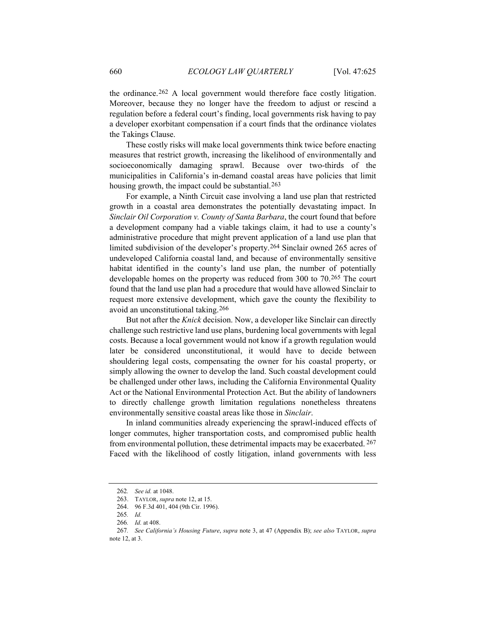the ordinance.262 A local government would therefore face costly litigation. Moreover, because they no longer have the freedom to adjust or rescind a regulation before a federal court's finding, local governments risk having to pay a developer exorbitant compensation if a court finds that the ordinance violates the Takings Clause.

These costly risks will make local governments think twice before enacting measures that restrict growth, increasing the likelihood of environmentally and socioeconomically damaging sprawl. Because over two-thirds of the municipalities in California's in-demand coastal areas have policies that limit housing growth, the impact could be substantial.<sup>263</sup>

For example, a Ninth Circuit case involving a land use plan that restricted growth in a coastal area demonstrates the potentially devastating impact. In *Sinclair Oil Corporation v. County of Santa Barbara*, the court found that before a development company had a viable takings claim, it had to use a county's administrative procedure that might prevent application of a land use plan that limited subdivision of the developer's property.264 Sinclair owned 265 acres of undeveloped California coastal land, and because of environmentally sensitive habitat identified in the county's land use plan, the number of potentially developable homes on the property was reduced from 300 to 70.265 The court found that the land use plan had a procedure that would have allowed Sinclair to request more extensive development, which gave the county the flexibility to avoid an unconstitutional taking.266

But not after the *Knick* decision. Now, a developer like Sinclair can directly challenge such restrictive land use plans, burdening local governments with legal costs. Because a local government would not know if a growth regulation would later be considered unconstitutional, it would have to decide between shouldering legal costs, compensating the owner for his coastal property, or simply allowing the owner to develop the land. Such coastal development could be challenged under other laws, including the California Environmental Quality Act or the National Environmental Protection Act. But the ability of landowners to directly challenge growth limitation regulations nonetheless threatens environmentally sensitive coastal areas like those in *Sinclair*.

In inland communities already experiencing the sprawl-induced effects of longer commutes, higher transportation costs, and compromised public health from environmental pollution, these detrimental impacts may be exacerbated. 267 Faced with the likelihood of costly litigation, inland governments with less

<sup>262</sup>*. See id.* at 1048.

<sup>263.</sup> TAYLOR, *supra* note 12, at 15.

<sup>264. 96</sup> F.3d 401, 404 (9th Cir. 1996).

<sup>265</sup>*. Id.*

<sup>266</sup>*. Id.* at 408.

<sup>267</sup>*. See California's Housing Future*, *supra* note 3, at 47 (Appendix B); *see also* TAYLOR, *supra* 

note 12, at 3.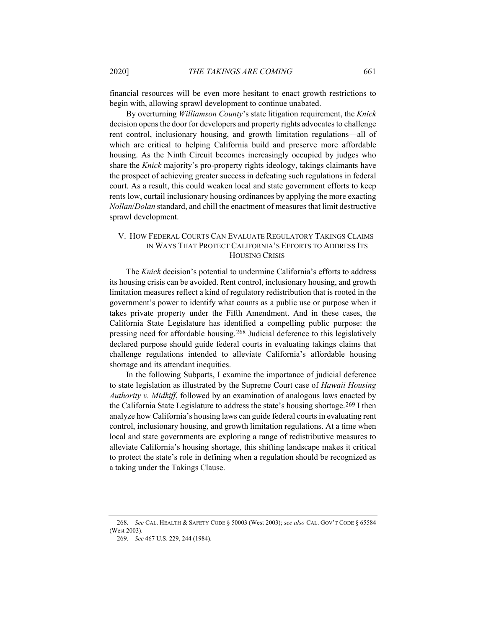financial resources will be even more hesitant to enact growth restrictions to begin with, allowing sprawl development to continue unabated.

By overturning *Williamson County*'s state litigation requirement, the *Knick* decision opens the door for developers and property rights advocates to challenge rent control, inclusionary housing, and growth limitation regulations—all of which are critical to helping California build and preserve more affordable housing. As the Ninth Circuit becomes increasingly occupied by judges who share the *Knick* majority's pro-property rights ideology, takings claimants have the prospect of achieving greater success in defeating such regulations in federal court. As a result, this could weaken local and state government efforts to keep rents low, curtail inclusionary housing ordinances by applying the more exacting *Nollan*/*Dolan* standard, and chill the enactment of measures that limit destructive sprawl development.

# V. HOW FEDERAL COURTS CAN EVALUATE REGULATORY TAKINGS CLAIMS IN WAYS THAT PROTECT CALIFORNIA'S EFFORTS TO ADDRESS ITS HOUSING CRISIS

The *Knick* decision's potential to undermine California's efforts to address its housing crisis can be avoided. Rent control, inclusionary housing, and growth limitation measures reflect a kind of regulatory redistribution that is rooted in the government's power to identify what counts as a public use or purpose when it takes private property under the Fifth Amendment. And in these cases, the California State Legislature has identified a compelling public purpose: the pressing need for affordable housing.268 Judicial deference to this legislatively declared purpose should guide federal courts in evaluating takings claims that challenge regulations intended to alleviate California's affordable housing shortage and its attendant inequities.

In the following Subparts, I examine the importance of judicial deference to state legislation as illustrated by the Supreme Court case of *Hawaii Housing Authority v. Midkiff*, followed by an examination of analogous laws enacted by the California State Legislature to address the state's housing shortage.269 I then analyze how California's housing laws can guide federal courts in evaluating rent control, inclusionary housing, and growth limitation regulations. At a time when local and state governments are exploring a range of redistributive measures to alleviate California's housing shortage, this shifting landscape makes it critical to protect the state's role in defining when a regulation should be recognized as a taking under the Takings Clause.

<sup>268</sup>*. See* CAL. HEALTH & SAFETY CODE § 50003 (West 2003); *see also* CAL. GOV'T CODE § 65584 (West 2003).

<sup>269</sup>*. See* 467 U.S. 229, 244 (1984).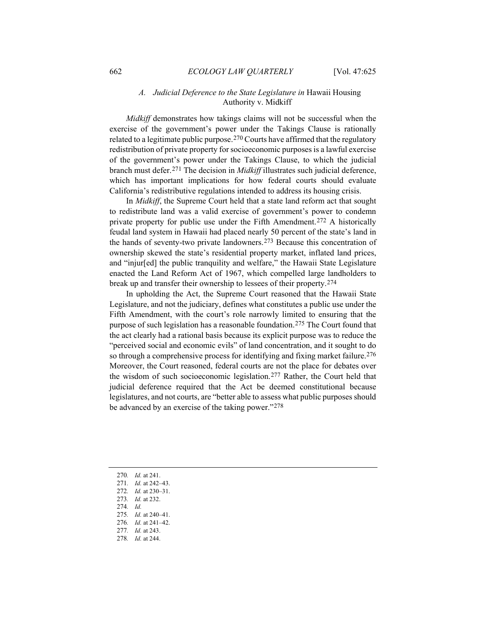# *A. Judicial Deference to the State Legislature in* Hawaii Housing Authority v. Midkiff

*Midkiff* demonstrates how takings claims will not be successful when the exercise of the government's power under the Takings Clause is rationally related to a legitimate public purpose.270 Courts have affirmed that the regulatory redistribution of private property for socioeconomic purposes is a lawful exercise of the government's power under the Takings Clause, to which the judicial branch must defer.271 The decision in *Midkiff* illustrates such judicial deference, which has important implications for how federal courts should evaluate California's redistributive regulations intended to address its housing crisis.

In *Midkiff*, the Supreme Court held that a state land reform act that sought to redistribute land was a valid exercise of government's power to condemn private property for public use under the Fifth Amendment.272 A historically feudal land system in Hawaii had placed nearly 50 percent of the state's land in the hands of seventy-two private landowners.273 Because this concentration of ownership skewed the state's residential property market, inflated land prices, and "injur[ed] the public tranquility and welfare," the Hawaii State Legislature enacted the Land Reform Act of 1967, which compelled large landholders to break up and transfer their ownership to lessees of their property.274

In upholding the Act, the Supreme Court reasoned that the Hawaii State Legislature, and not the judiciary, defines what constitutes a public use under the Fifth Amendment, with the court's role narrowly limited to ensuring that the purpose of such legislation has a reasonable foundation.275 The Court found that the act clearly had a rational basis because its explicit purpose was to reduce the "perceived social and economic evils" of land concentration, and it sought to do so through a comprehensive process for identifying and fixing market failure.<sup>276</sup> Moreover, the Court reasoned, federal courts are not the place for debates over the wisdom of such socioeconomic legislation.277 Rather, the Court held that judicial deference required that the Act be deemed constitutional because legislatures, and not courts, are "better able to assess what public purposes should be advanced by an exercise of the taking power."278

- 270*. Id.* at 241. 271*. Id.* at 242–43.
- 272*. Id.* at 230–31.
- 273*. Id.* at 232. 274*. Id.*
- 275*. Id.* at 240–41.
- 276*. Id.* at 241–42.
- 277*. Id.* at 243.
- 278*. Id.* at 244.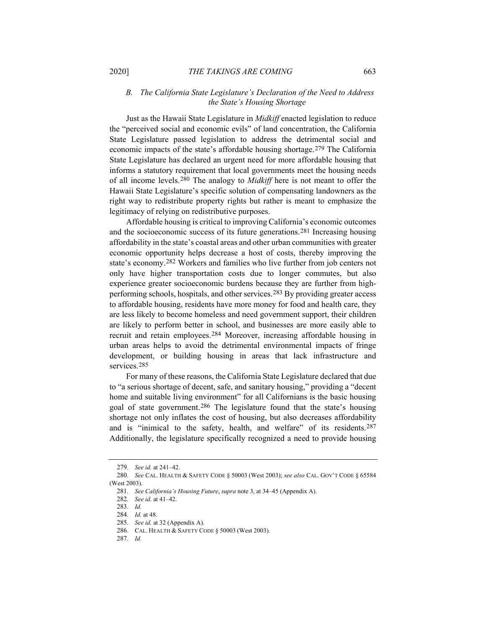# *B. The California State Legislature's Declaration of the Need to Address the State's Housing Shortage*

Just as the Hawaii State Legislature in *Midkiff* enacted legislation to reduce the "perceived social and economic evils" of land concentration, the California State Legislature passed legislation to address the detrimental social and economic impacts of the state's affordable housing shortage.279 The California State Legislature has declared an urgent need for more affordable housing that informs a statutory requirement that local governments meet the housing needs of all income levels.280 The analogy to *Midkiff* here is not meant to offer the Hawaii State Legislature's specific solution of compensating landowners as the right way to redistribute property rights but rather is meant to emphasize the legitimacy of relying on redistributive purposes.

Affordable housing is critical to improving California's economic outcomes and the socioeconomic success of its future generations.281 Increasing housing affordability in the state's coastal areas and other urban communities with greater economic opportunity helps decrease a host of costs, thereby improving the state's economy.282 Workers and families who live further from job centers not only have higher transportation costs due to longer commutes, but also experience greater socioeconomic burdens because they are further from highperforming schools, hospitals, and other services.283 By providing greater access to affordable housing, residents have more money for food and health care, they are less likely to become homeless and need government support, their children are likely to perform better in school, and businesses are more easily able to recruit and retain employees.284 Moreover, increasing affordable housing in urban areas helps to avoid the detrimental environmental impacts of fringe development, or building housing in areas that lack infrastructure and services.285

For many of these reasons, the California State Legislature declared that due to "a serious shortage of decent, safe, and sanitary housing," providing a "decent home and suitable living environment" for all Californians is the basic housing goal of state government.286 The legislature found that the state's housing shortage not only inflates the cost of housing, but also decreases affordability and is "inimical to the safety, health, and welfare" of its residents.287 Additionally, the legislature specifically recognized a need to provide housing

<sup>279</sup>*. See id.* at 241–42.

<sup>280</sup>*. See* CAL. HEALTH & SAFETY CODE § 50003 (West 2003); *see also* CAL. GOV'T CODE § 65584 (West 2003).

<sup>281</sup>*. See California's Housing Future*, *supra* note 3, at 34–45 (Appendix A).

<sup>282</sup>*. See id.* at 41–42.

<sup>283</sup>*. Id.*

<sup>284</sup>*. Id.* at 48.

<sup>285</sup>*. See id.* at 32 (Appendix A).

<sup>286.</sup> CAL. HEALTH & SAFETY CODE § 50003 (West 2003).

<sup>287</sup>*. Id.*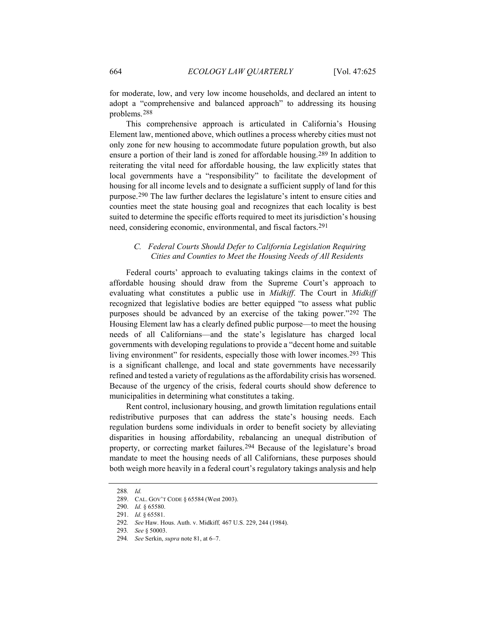for moderate, low, and very low income households, and declared an intent to adopt a "comprehensive and balanced approach" to addressing its housing problems.288

This comprehensive approach is articulated in California's Housing Element law, mentioned above, which outlines a process whereby cities must not only zone for new housing to accommodate future population growth, but also ensure a portion of their land is zoned for affordable housing.289 In addition to reiterating the vital need for affordable housing, the law explicitly states that local governments have a "responsibility" to facilitate the development of housing for all income levels and to designate a sufficient supply of land for this purpose.290 The law further declares the legislature's intent to ensure cities and counties meet the state housing goal and recognizes that each locality is best suited to determine the specific efforts required to meet its jurisdiction's housing need, considering economic, environmental, and fiscal factors.291

# *C. Federal Courts Should Defer to California Legislation Requiring Cities and Counties to Meet the Housing Needs of All Residents*

Federal courts' approach to evaluating takings claims in the context of affordable housing should draw from the Supreme Court's approach to evaluating what constitutes a public use in *Midkiff*. The Court in *Midkiff* recognized that legislative bodies are better equipped "to assess what public purposes should be advanced by an exercise of the taking power."292 The Housing Element law has a clearly defined public purpose—to meet the housing needs of all Californians—and the state's legislature has charged local governments with developing regulations to provide a "decent home and suitable living environment" for residents, especially those with lower incomes.<sup>293</sup> This is a significant challenge, and local and state governments have necessarily refined and tested a variety of regulations as the affordability crisis has worsened. Because of the urgency of the crisis, federal courts should show deference to municipalities in determining what constitutes a taking.

Rent control, inclusionary housing, and growth limitation regulations entail redistributive purposes that can address the state's housing needs. Each regulation burdens some individuals in order to benefit society by alleviating disparities in housing affordability, rebalancing an unequal distribution of property, or correcting market failures.294 Because of the legislature's broad mandate to meet the housing needs of all Californians, these purposes should both weigh more heavily in a federal court's regulatory takings analysis and help

<sup>288</sup>*. Id.*

<sup>289.</sup> CAL. GOV'T CODE § 65584 (West 2003).

<sup>290.</sup> *Id.* § 65580.

<sup>291.</sup> *Id.* § 65581.

<sup>292</sup>*. See* Haw. Hous. Auth. v. Midkiff*,* 467 U.S. 229, 244 (1984).

<sup>293</sup>*. See* § 50003.

<sup>294</sup>*. See* Serkin, *supra* note 81, at 6–7.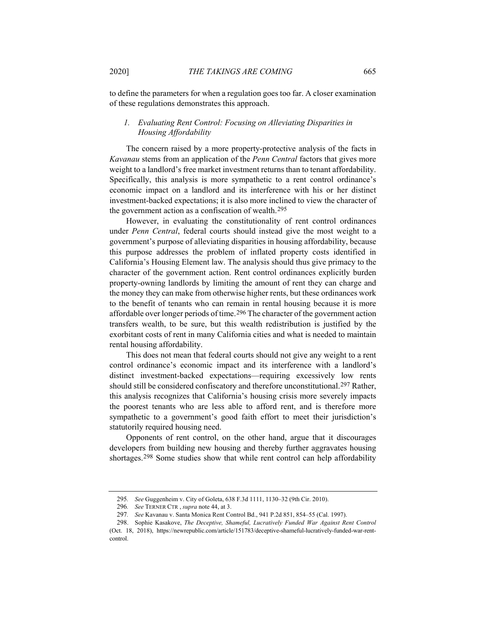to define the parameters for when a regulation goes too far. A closer examination of these regulations demonstrates this approach.

#### *1. Evaluating Rent Control: Focusing on Alleviating Disparities in Housing Affordability*

The concern raised by a more property-protective analysis of the facts in *Kavanau* stems from an application of the *Penn Central* factors that gives more weight to a landlord's free market investment returns than to tenant affordability. Specifically, this analysis is more sympathetic to a rent control ordinance's economic impact on a landlord and its interference with his or her distinct investment-backed expectations; it is also more inclined to view the character of the government action as a confiscation of wealth.295

However, in evaluating the constitutionality of rent control ordinances under *Penn Central*, federal courts should instead give the most weight to a government's purpose of alleviating disparities in housing affordability, because this purpose addresses the problem of inflated property costs identified in California's Housing Element law. The analysis should thus give primacy to the character of the government action. Rent control ordinances explicitly burden property-owning landlords by limiting the amount of rent they can charge and the money they can make from otherwise higher rents, but these ordinances work to the benefit of tenants who can remain in rental housing because it is more affordable over longer periods of time.296 The character of the government action transfers wealth, to be sure, but this wealth redistribution is justified by the exorbitant costs of rent in many California cities and what is needed to maintain rental housing affordability.

This does not mean that federal courts should not give any weight to a rent control ordinance's economic impact and its interference with a landlord's distinct investment-backed expectations—requiring excessively low rents should still be considered confiscatory and therefore unconstitutional.297 Rather, this analysis recognizes that California's housing crisis more severely impacts the poorest tenants who are less able to afford rent, and is therefore more sympathetic to a government's good faith effort to meet their jurisdiction's statutorily required housing need.

Opponents of rent control, on the other hand, argue that it discourages developers from building new housing and thereby further aggravates housing shortages.298 Some studies show that while rent control can help affordability

<sup>295</sup>*. See* Guggenheim v. City of Goleta, 638 F.3d 1111, 1130–32 (9th Cir. 2010).

<sup>296</sup>*. See* TERNER CTR , *supra* note 44, at 3.

<sup>297</sup>*. See* Kavanau v. Santa Monica Rent Control Bd., 941 P.2d 851, 854–55 (Cal. 1997).

<sup>298.</sup> Sophie Kasakove, *The Deceptive, Shameful, Lucratively Funded War Against Rent Control*  (Oct. 18, 2018), https://newrepublic.com/article/151783/deceptive-shameful-lucratively-funded-war-rentcontrol.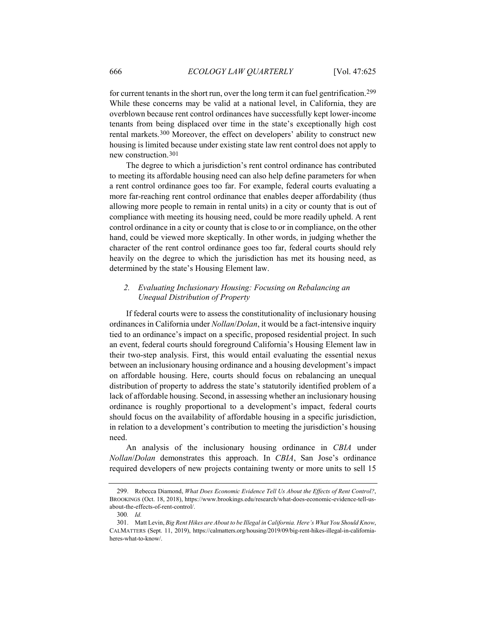for current tenants in the short run, over the long term it can fuel gentrification.<sup>299</sup> While these concerns may be valid at a national level, in California, they are overblown because rent control ordinances have successfully kept lower-income tenants from being displaced over time in the state's exceptionally high cost rental markets.300 Moreover, the effect on developers' ability to construct new housing is limited because under existing state law rent control does not apply to new construction.301

The degree to which a jurisdiction's rent control ordinance has contributed to meeting its affordable housing need can also help define parameters for when a rent control ordinance goes too far. For example, federal courts evaluating a more far-reaching rent control ordinance that enables deeper affordability (thus allowing more people to remain in rental units) in a city or county that is out of compliance with meeting its housing need, could be more readily upheld. A rent control ordinance in a city or county that is close to or in compliance, on the other hand, could be viewed more skeptically. In other words, in judging whether the character of the rent control ordinance goes too far, federal courts should rely heavily on the degree to which the jurisdiction has met its housing need, as determined by the state's Housing Element law.

# *2. Evaluating Inclusionary Housing: Focusing on Rebalancing an Unequal Distribution of Property*

If federal courts were to assess the constitutionality of inclusionary housing ordinances in California under *Nollan*/*Dolan*, it would be a fact-intensive inquiry tied to an ordinance's impact on a specific, proposed residential project. In such an event, federal courts should foreground California's Housing Element law in their two-step analysis. First, this would entail evaluating the essential nexus between an inclusionary housing ordinance and a housing development's impact on affordable housing. Here, courts should focus on rebalancing an unequal distribution of property to address the state's statutorily identified problem of a lack of affordable housing. Second, in assessing whether an inclusionary housing ordinance is roughly proportional to a development's impact, federal courts should focus on the availability of affordable housing in a specific jurisdiction, in relation to a development's contribution to meeting the jurisdiction's housing need.

An analysis of the inclusionary housing ordinance in *CBIA* under *Nollan*/*Dolan* demonstrates this approach. In *CBIA*, San Jose's ordinance required developers of new projects containing twenty or more units to sell 15

<sup>299.</sup> Rebecca Diamond, *What Does Economic Evidence Tell Us About the Effects of Rent Control?*, BROOKINGS (Oct. 18, 2018), https://www.brookings.edu/research/what-does-economic-evidence-tell-usabout-the-effects-of-rent-control/.

<sup>300</sup>*. Id.*

<sup>301.</sup> Matt Levin, *Big Rent Hikes are About to be Illegal in California. Here's What You Should Know*, CALMATTERS (Sept. 11, 2019), https://calmatters.org/housing/2019/09/big-rent-hikes-illegal-in-californiaheres-what-to-know/.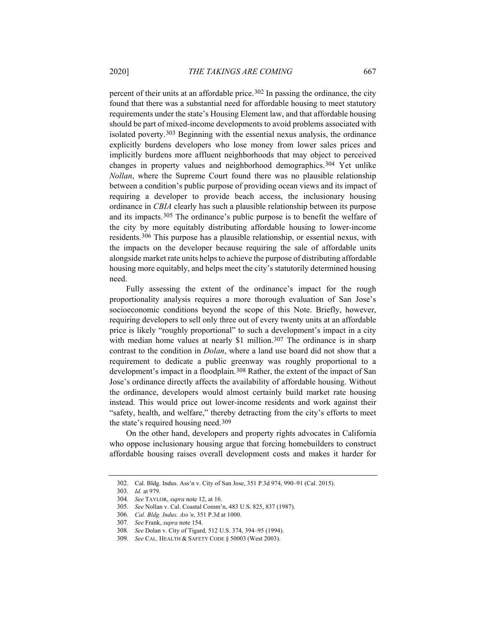percent of their units at an affordable price.302 In passing the ordinance, the city found that there was a substantial need for affordable housing to meet statutory requirements under the state's Housing Element law, and that affordable housing should be part of mixed-income developments to avoid problems associated with isolated poverty.303 Beginning with the essential nexus analysis, the ordinance explicitly burdens developers who lose money from lower sales prices and implicitly burdens more affluent neighborhoods that may object to perceived changes in property values and neighborhood demographics.304 Yet unlike *Nollan*, where the Supreme Court found there was no plausible relationship between a condition's public purpose of providing ocean views and its impact of requiring a developer to provide beach access, the inclusionary housing ordinance in *CBIA* clearly has such a plausible relationship between its purpose and its impacts.305 The ordinance's public purpose is to benefit the welfare of the city by more equitably distributing affordable housing to lower-income residents.306 This purpose has a plausible relationship, or essential nexus, with the impacts on the developer because requiring the sale of affordable units alongside market rate units helps to achieve the purpose of distributing affordable housing more equitably, and helps meet the city's statutorily determined housing need.

Fully assessing the extent of the ordinance's impact for the rough proportionality analysis requires a more thorough evaluation of San Jose's socioeconomic conditions beyond the scope of this Note. Briefly, however, requiring developers to sell only three out of every twenty units at an affordable price is likely "roughly proportional" to such a development's impact in a city with median home values at nearly \$1 million.<sup>307</sup> The ordinance is in sharp contrast to the condition in *Dolan*, where a land use board did not show that a requirement to dedicate a public greenway was roughly proportional to a development's impact in a floodplain.<sup>308</sup> Rather, the extent of the impact of San Jose's ordinance directly affects the availability of affordable housing. Without the ordinance, developers would almost certainly build market rate housing instead. This would price out lower-income residents and work against their "safety, health, and welfare," thereby detracting from the city's efforts to meet the state's required housing need.309

On the other hand, developers and property rights advocates in California who oppose inclusionary housing argue that forcing homebuilders to construct affordable housing raises overall development costs and makes it harder for

<sup>302.</sup> Cal. Bldg. Indus. Ass'n v. City of San Jose, 351 P.3d 974, 990–91 (Cal. 2015).

<sup>303</sup>*. Id.* at 979.

<sup>304</sup>*. See* TAYLOR, *supra* note 12, at 16.

<sup>305</sup>*. See* Nollan v. Cal. Coastal Comm'n, 483 U.S. 825, 837 (1987).

<sup>306</sup>*. Cal. Bldg. Indus. Ass'n*, 351 P.3d at 1000.

<sup>307</sup>*. See* Frank, *supra* note 154.

<sup>308</sup>*. See* Dolan v. City of Tigard*,* 512 U.S. 374, 394–95 (1994).

<sup>309</sup>*. See* CAL. HEALTH & SAFETY CODE § 50003 (West 2003).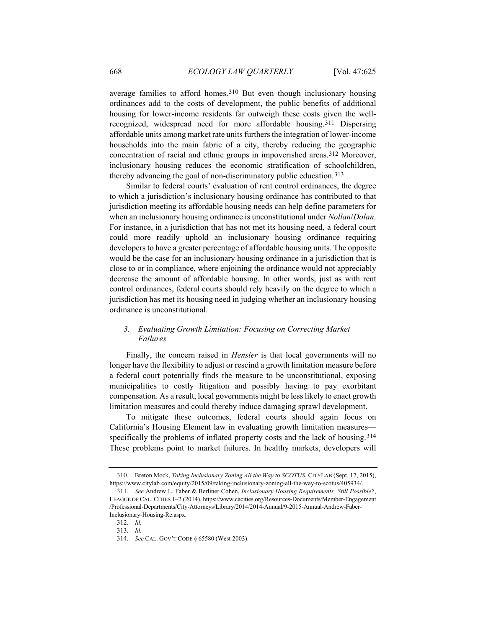average families to afford homes.310 But even though inclusionary housing ordinances add to the costs of development, the public benefits of additional housing for lower-income residents far outweigh these costs given the wellrecognized, widespread need for more affordable housing.311 Dispersing affordable units among market rate units furthers the integration of lower-income households into the main fabric of a city, thereby reducing the geographic concentration of racial and ethnic groups in impoverished areas.312 Moreover, inclusionary housing reduces the economic stratification of schoolchildren, thereby advancing the goal of non-discriminatory public education.313

Similar to federal courts' evaluation of rent control ordinances, the degree to which a jurisdiction's inclusionary housing ordinance has contributed to that jurisdiction meeting its affordable housing needs can help define parameters for when an inclusionary housing ordinance is unconstitutional under *Nollan*/*Dolan*. For instance, in a jurisdiction that has not met its housing need, a federal court could more readily uphold an inclusionary housing ordinance requiring developers to have a greater percentage of affordable housing units. The opposite would be the case for an inclusionary housing ordinance in a jurisdiction that is close to or in compliance, where enjoining the ordinance would not appreciably decrease the amount of affordable housing. In other words, just as with rent control ordinances, federal courts should rely heavily on the degree to which a jurisdiction has met its housing need in judging whether an inclusionary housing ordinance is unconstitutional.

# *3. Evaluating Growth Limitation: Focusing on Correcting Market Failures*

Finally, the concern raised in *Hensler* is that local governments will no longer have the flexibility to adjust or rescind a growth limitation measure before a federal court potentially finds the measure to be unconstitutional, exposing municipalities to costly litigation and possibly having to pay exorbitant compensation. As a result, local governments might be less likely to enact growth limitation measures and could thereby induce damaging sprawl development.

To mitigate these outcomes, federal courts should again focus on California's Housing Element law in evaluating growth limitation measures specifically the problems of inflated property costs and the lack of housing.314 These problems point to market failures. In healthy markets, developers will

<sup>310.</sup> Breton Mock, *Taking Inclusionary Zoning All the Way to SCOTUS*, CITYLAB (Sept. 17, 2015), https://www.citylab.com/equity/2015/09/taking-inclusionary-zoning-all-the-way-to-scotus/405934/.

<sup>311</sup>*. See* Andrew L. Faber & Berliner Cohen, *Inclusionary Housing Requirements Still Possible?*, LEAGUE OF CAL. CITIES 1–2 (2014), https://www.cacities.org/Resources-Documents/Member-Engagement /Professional-Departments/City-Attorneys/Library/2014/2014-Annual/9-2015-Annual-Andrew-Faber-Inclusionary-Housing-Re.aspx.

<sup>312</sup>*. Id.*

<sup>313</sup>*. Id.*

<sup>314</sup>*. See* CAL. GOV'T CODE § 65580 (West 2003).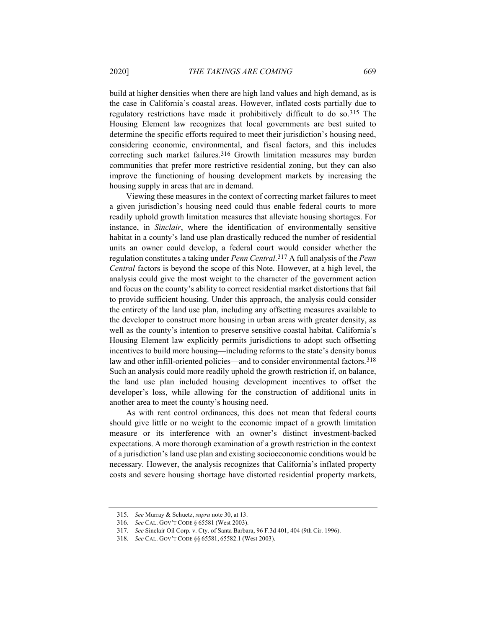build at higher densities when there are high land values and high demand, as is the case in California's coastal areas. However, inflated costs partially due to regulatory restrictions have made it prohibitively difficult to do so.315 The Housing Element law recognizes that local governments are best suited to determine the specific efforts required to meet their jurisdiction's housing need, considering economic, environmental, and fiscal factors, and this includes correcting such market failures.<sup>316</sup> Growth limitation measures may burden communities that prefer more restrictive residential zoning, but they can also improve the functioning of housing development markets by increasing the housing supply in areas that are in demand.

Viewing these measures in the context of correcting market failures to meet a given jurisdiction's housing need could thus enable federal courts to more readily uphold growth limitation measures that alleviate housing shortages. For instance, in *Sinclair*, where the identification of environmentally sensitive habitat in a county's land use plan drastically reduced the number of residential units an owner could develop, a federal court would consider whether the regulation constitutes a taking under *Penn Central*.317 A full analysis of the *Penn Central* factors is beyond the scope of this Note. However, at a high level, the analysis could give the most weight to the character of the government action and focus on the county's ability to correct residential market distortions that fail to provide sufficient housing. Under this approach, the analysis could consider the entirety of the land use plan, including any offsetting measures available to the developer to construct more housing in urban areas with greater density, as well as the county's intention to preserve sensitive coastal habitat. California's Housing Element law explicitly permits jurisdictions to adopt such offsetting incentives to build more housing—including reforms to the state's density bonus law and other infill-oriented policies—and to consider environmental factors.<sup>318</sup> Such an analysis could more readily uphold the growth restriction if, on balance, the land use plan included housing development incentives to offset the developer's loss, while allowing for the construction of additional units in another area to meet the county's housing need.

As with rent control ordinances, this does not mean that federal courts should give little or no weight to the economic impact of a growth limitation measure or its interference with an owner's distinct investment-backed expectations. A more thorough examination of a growth restriction in the context of a jurisdiction's land use plan and existing socioeconomic conditions would be necessary. However, the analysis recognizes that California's inflated property costs and severe housing shortage have distorted residential property markets,

<sup>315</sup>*. See* Murray & Schuetz, *supra* note 30, at 13.

<sup>316</sup>*. See* CAL. GOV'T CODE § 65581 (West 2003).

<sup>317</sup>*. See* Sinclair Oil Corp. v. Cty. of Santa Barbara, 96 F.3d 401, 404 (9th Cir. 1996).

<sup>318</sup>*. See* CAL. GOV'T CODE §§ 65581, 65582.1 (West 2003).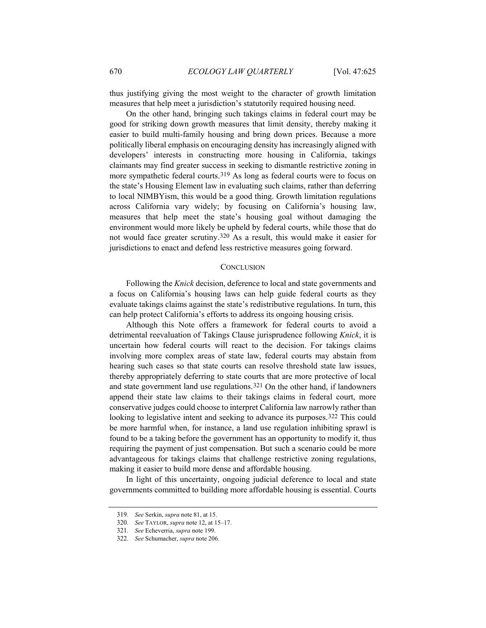thus justifying giving the most weight to the character of growth limitation measures that help meet a jurisdiction's statutorily required housing need.

On the other hand, bringing such takings claims in federal court may be good for striking down growth measures that limit density, thereby making it easier to build multi-family housing and bring down prices. Because a more politically liberal emphasis on encouraging density has increasingly aligned with developers' interests in constructing more housing in California, takings claimants may find greater success in seeking to dismantle restrictive zoning in more sympathetic federal courts.319 As long as federal courts were to focus on the state's Housing Element law in evaluating such claims, rather than deferring to local NIMBYism, this would be a good thing. Growth limitation regulations across California vary widely; by focusing on California's housing law, measures that help meet the state's housing goal without damaging the environment would more likely be upheld by federal courts, while those that do not would face greater scrutiny.320 As a result, this would make it easier for jurisdictions to enact and defend less restrictive measures going forward.

#### **CONCLUSION**

Following the *Knick* decision, deference to local and state governments and a focus on California's housing laws can help guide federal courts as they evaluate takings claims against the state's redistributive regulations. In turn, this can help protect California's efforts to address its ongoing housing crisis.

Although this Note offers a framework for federal courts to avoid a detrimental reevaluation of Takings Clause jurisprudence following *Knick*, it is uncertain how federal courts will react to the decision. For takings claims involving more complex areas of state law, federal courts may abstain from hearing such cases so that state courts can resolve threshold state law issues, thereby appropriately deferring to state courts that are more protective of local and state government land use regulations.321 On the other hand, if landowners append their state law claims to their takings claims in federal court, more conservative judges could choose to interpret California law narrowly rather than looking to legislative intent and seeking to advance its purposes.<sup>322</sup> This could be more harmful when, for instance, a land use regulation inhibiting sprawl is found to be a taking before the government has an opportunity to modify it, thus requiring the payment of just compensation. But such a scenario could be more advantageous for takings claims that challenge restrictive zoning regulations, making it easier to build more dense and affordable housing.

In light of this uncertainty, ongoing judicial deference to local and state governments committed to building more affordable housing is essential. Courts

<sup>319</sup>*. See* Serkin, *supra* note 81, at 15.

<sup>320</sup>*. See* TAYLOR, *supra* note 12, at 15–17.

<sup>321</sup>*. See* Echeverria, *supra* note 199.

<sup>322</sup>*. See* Schumacher, *supra* note 206.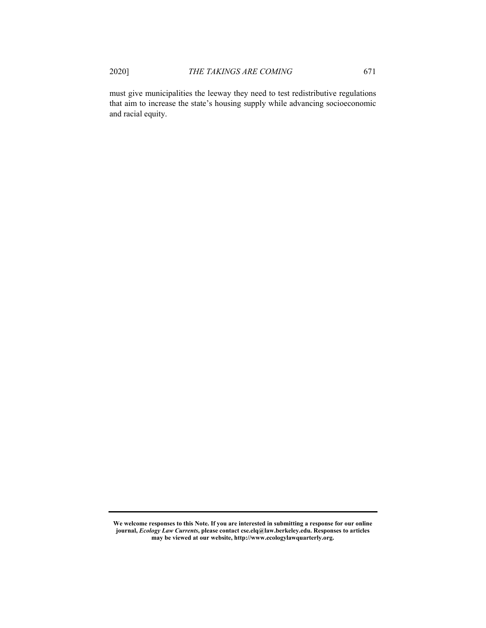must give municipalities the leeway they need to test redistributive regulations that aim to increase the state's housing supply while advancing socioeconomic and racial equity.

**We welcome responses to this Note. If you are interested in submitting a response for our online journal,** *Ecology Law Currents***, please contact cse.elq@law.berkeley.edu. Responses to articles may be viewed at our website, http://www.ecologylawquarterly.org.**